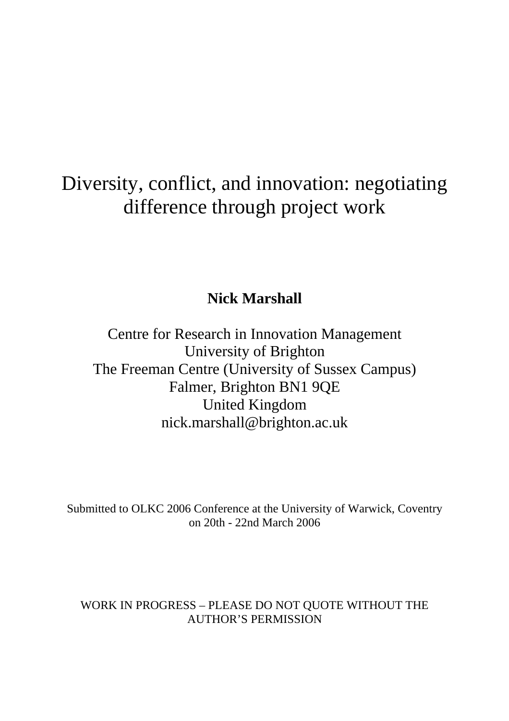# Diversity, conflict, and innovation: negotiating difference through project work

# **Nick Marshall**

Centre for Research in Innovation Management University of Brighton The Freeman Centre (University of Sussex Campus) Falmer, Brighton BN1 9QE United Kingdom nick.marshall@brighton.ac.uk

Submitted to OLKC 2006 Conference at the University of Warwick, Coventry on 20th - 22nd March 2006

WORK IN PROGRESS – PLEASE DO NOT QUOTE WITHOUT THE AUTHOR'S PERMISSION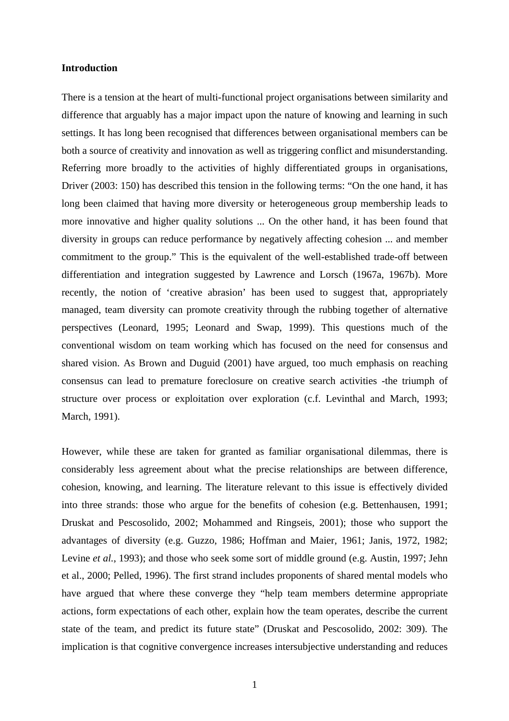#### **Introduction**

There is a tension at the heart of multi-functional project organisations between similarity and difference that arguably has a major impact upon the nature of knowing and learning in such settings. It has long been recognised that differences between organisational members can be both a source of creativity and innovation as well as triggering conflict and misunderstanding. Referring more broadly to the activities of highly differentiated groups in organisations, Driver (2003: 150) has described this tension in the following terms: "On the one hand, it has long been claimed that having more diversity or heterogeneous group membership leads to more innovative and higher quality solutions ... On the other hand, it has been found that diversity in groups can reduce performance by negatively affecting cohesion ... and member commitment to the group." This is the equivalent of the well-established trade-off between differentiation and integration suggested by Lawrence and Lorsch (1967a, 1967b). More recently, the notion of 'creative abrasion' has been used to suggest that, appropriately managed, team diversity can promote creativity through the rubbing together of alternative perspectives (Leonard, 1995; Leonard and Swap, 1999). This questions much of the conventional wisdom on team working which has focused on the need for consensus and shared vision. As Brown and Duguid (2001) have argued, too much emphasis on reaching consensus can lead to premature foreclosure on creative search activities -the triumph of structure over process or exploitation over exploration (c.f. Levinthal and March, 1993; March, 1991).

However, while these are taken for granted as familiar organisational dilemmas, there is considerably less agreement about what the precise relationships are between difference, cohesion, knowing, and learning. The literature relevant to this issue is effectively divided into three strands: those who argue for the benefits of cohesion (e.g. Bettenhausen, 1991; Druskat and Pescosolido, 2002; Mohammed and Ringseis, 2001); those who support the advantages of diversity (e.g. Guzzo, 1986; Hoffman and Maier, 1961; Janis, 1972, 1982; Levine *et al.*, 1993); and those who seek some sort of middle ground (e.g. Austin, 1997; Jehn et al., 2000; Pelled, 1996). The first strand includes proponents of shared mental models who have argued that where these converge they "help team members determine appropriate actions, form expectations of each other, explain how the team operates, describe the current state of the team, and predict its future state" (Druskat and Pescosolido, 2002: 309). The implication is that cognitive convergence increases intersubjective understanding and reduces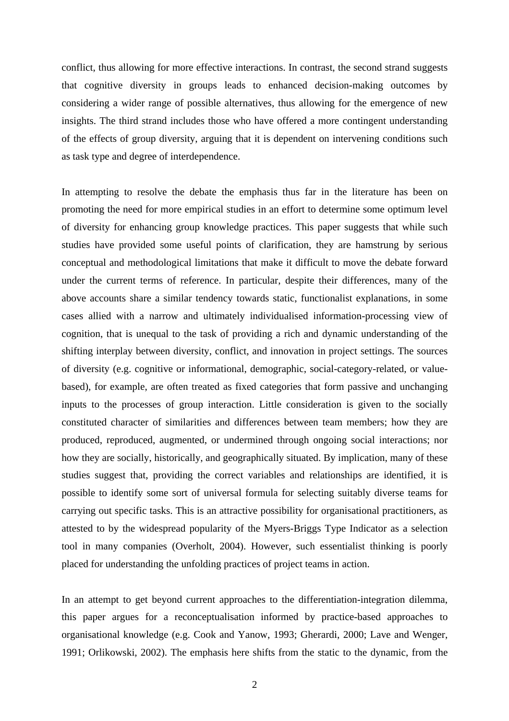conflict, thus allowing for more effective interactions. In contrast, the second strand suggests that cognitive diversity in groups leads to enhanced decision-making outcomes by considering a wider range of possible alternatives, thus allowing for the emergence of new insights. The third strand includes those who have offered a more contingent understanding of the effects of group diversity, arguing that it is dependent on intervening conditions such as task type and degree of interdependence.

In attempting to resolve the debate the emphasis thus far in the literature has been on promoting the need for more empirical studies in an effort to determine some optimum level of diversity for enhancing group knowledge practices. This paper suggests that while such studies have provided some useful points of clarification, they are hamstrung by serious conceptual and methodological limitations that make it difficult to move the debate forward under the current terms of reference. In particular, despite their differences, many of the above accounts share a similar tendency towards static, functionalist explanations, in some cases allied with a narrow and ultimately individualised information-processing view of cognition, that is unequal to the task of providing a rich and dynamic understanding of the shifting interplay between diversity, conflict, and innovation in project settings. The sources of diversity (e.g. cognitive or informational, demographic, social-category-related, or valuebased), for example, are often treated as fixed categories that form passive and unchanging inputs to the processes of group interaction. Little consideration is given to the socially constituted character of similarities and differences between team members; how they are produced, reproduced, augmented, or undermined through ongoing social interactions; nor how they are socially, historically, and geographically situated. By implication, many of these studies suggest that, providing the correct variables and relationships are identified, it is possible to identify some sort of universal formula for selecting suitably diverse teams for carrying out specific tasks. This is an attractive possibility for organisational practitioners, as attested to by the widespread popularity of the Myers-Briggs Type Indicator as a selection tool in many companies (Overholt, 2004). However, such essentialist thinking is poorly placed for understanding the unfolding practices of project teams in action.

In an attempt to get beyond current approaches to the differentiation-integration dilemma, this paper argues for a reconceptualisation informed by practice-based approaches to organisational knowledge (e.g. Cook and Yanow, 1993; Gherardi, 2000; Lave and Wenger, 1991; Orlikowski, 2002). The emphasis here shifts from the static to the dynamic, from the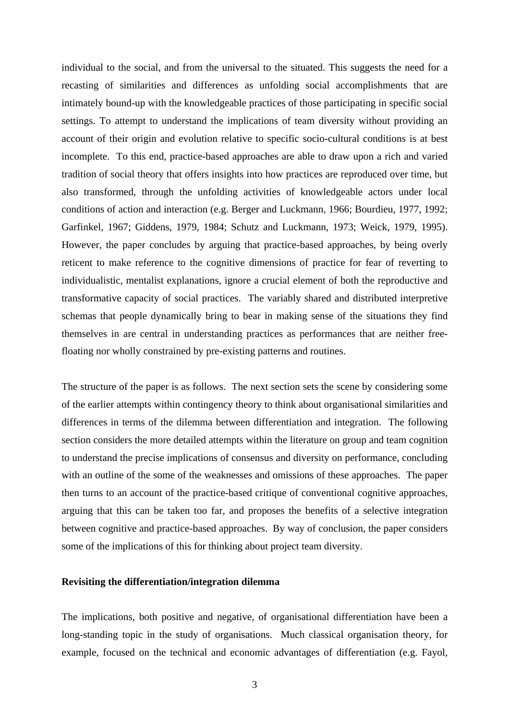individual to the social, and from the universal to the situated. This suggests the need for a recasting of similarities and differences as unfolding social accomplishments that are intimately bound-up with the knowledgeable practices of those participating in specific social settings. To attempt to understand the implications of team diversity without providing an account of their origin and evolution relative to specific socio-cultural conditions is at best incomplete. To this end, practice-based approaches are able to draw upon a rich and varied tradition of social theory that offers insights into how practices are reproduced over time, but also transformed, through the unfolding activities of knowledgeable actors under local conditions of action and interaction (e.g. Berger and Luckmann, 1966; Bourdieu, 1977, 1992; Garfinkel, 1967; Giddens, 1979, 1984; Schutz and Luckmann, 1973; Weick, 1979, 1995). However, the paper concludes by arguing that practice-based approaches, by being overly reticent to make reference to the cognitive dimensions of practice for fear of reverting to individualistic, mentalist explanations, ignore a crucial element of both the reproductive and transformative capacity of social practices. The variably shared and distributed interpretive schemas that people dynamically bring to bear in making sense of the situations they find themselves in are central in understanding practices as performances that are neither freefloating nor wholly constrained by pre-existing patterns and routines.

The structure of the paper is as follows. The next section sets the scene by considering some of the earlier attempts within contingency theory to think about organisational similarities and differences in terms of the dilemma between differentiation and integration. The following section considers the more detailed attempts within the literature on group and team cognition to understand the precise implications of consensus and diversity on performance, concluding with an outline of the some of the weaknesses and omissions of these approaches. The paper then turns to an account of the practice-based critique of conventional cognitive approaches, arguing that this can be taken too far, and proposes the benefits of a selective integration between cognitive and practice-based approaches. By way of conclusion, the paper considers some of the implications of this for thinking about project team diversity.

#### **Revisiting the differentiation/integration dilemma**

The implications, both positive and negative, of organisational differentiation have been a long-standing topic in the study of organisations. Much classical organisation theory, for example, focused on the technical and economic advantages of differentiation (e.g. Fayol,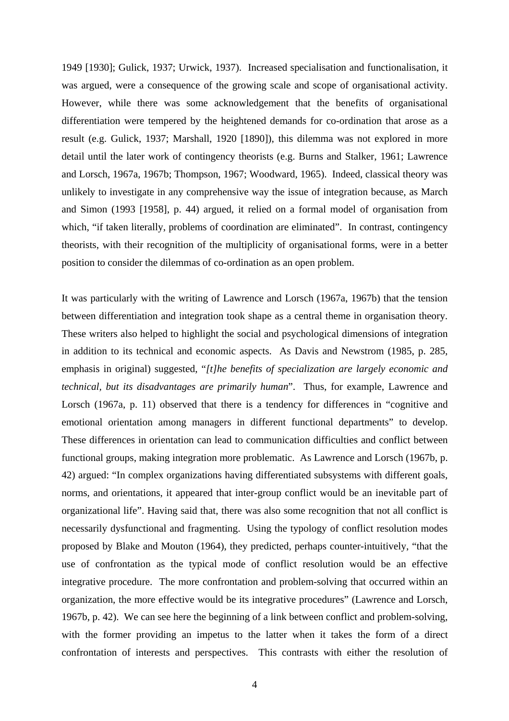1949 [1930]; Gulick, 1937; Urwick, 1937). Increased specialisation and functionalisation, it was argued, were a consequence of the growing scale and scope of organisational activity. However, while there was some acknowledgement that the benefits of organisational differentiation were tempered by the heightened demands for co-ordination that arose as a result (e.g. Gulick, 1937; Marshall, 1920 [1890]), this dilemma was not explored in more detail until the later work of contingency theorists (e.g. Burns and Stalker, 1961; Lawrence and Lorsch, 1967a, 1967b; Thompson, 1967; Woodward, 1965). Indeed, classical theory was unlikely to investigate in any comprehensive way the issue of integration because, as March and Simon (1993 [1958], p. 44) argued, it relied on a formal model of organisation from which, "if taken literally, problems of coordination are eliminated". In contrast, contingency theorists, with their recognition of the multiplicity of organisational forms, were in a better position to consider the dilemmas of co-ordination as an open problem.

It was particularly with the writing of Lawrence and Lorsch (1967a, 1967b) that the tension between differentiation and integration took shape as a central theme in organisation theory. These writers also helped to highlight the social and psychological dimensions of integration in addition to its technical and economic aspects. As Davis and Newstrom (1985, p. 285, emphasis in original) suggested, "*[t]he benefits of specialization are largely economic and technical, but its disadvantages are primarily human*". Thus, for example, Lawrence and Lorsch (1967a, p. 11) observed that there is a tendency for differences in "cognitive and emotional orientation among managers in different functional departments" to develop. These differences in orientation can lead to communication difficulties and conflict between functional groups, making integration more problematic. As Lawrence and Lorsch (1967b, p. 42) argued: "In complex organizations having differentiated subsystems with different goals, norms, and orientations, it appeared that inter-group conflict would be an inevitable part of organizational life". Having said that, there was also some recognition that not all conflict is necessarily dysfunctional and fragmenting. Using the typology of conflict resolution modes proposed by Blake and Mouton (1964), they predicted, perhaps counter-intuitively, "that the use of confrontation as the typical mode of conflict resolution would be an effective integrative procedure. The more confrontation and problem-solving that occurred within an organization, the more effective would be its integrative procedures" (Lawrence and Lorsch, 1967b, p. 42). We can see here the beginning of a link between conflict and problem-solving, with the former providing an impetus to the latter when it takes the form of a direct confrontation of interests and perspectives. This contrasts with either the resolution of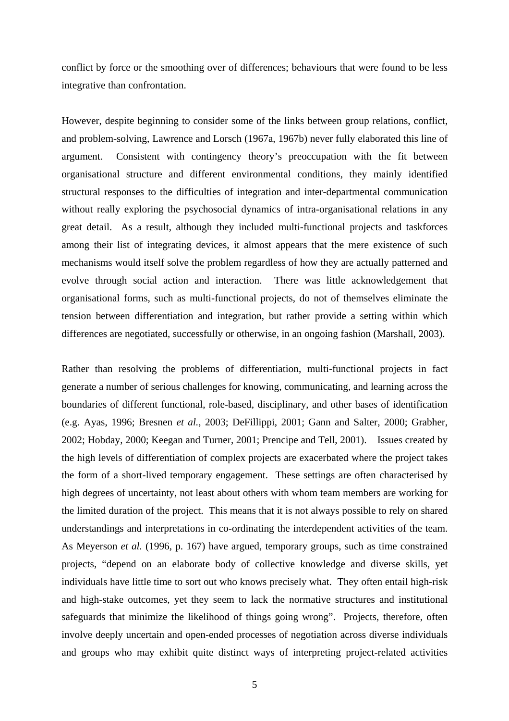conflict by force or the smoothing over of differences; behaviours that were found to be less integrative than confrontation.

However, despite beginning to consider some of the links between group relations, conflict, and problem-solving, Lawrence and Lorsch (1967a, 1967b) never fully elaborated this line of argument. Consistent with contingency theory's preoccupation with the fit between organisational structure and different environmental conditions, they mainly identified structural responses to the difficulties of integration and inter-departmental communication without really exploring the psychosocial dynamics of intra-organisational relations in any great detail. As a result, although they included multi-functional projects and taskforces among their list of integrating devices, it almost appears that the mere existence of such mechanisms would itself solve the problem regardless of how they are actually patterned and evolve through social action and interaction. There was little acknowledgement that organisational forms, such as multi-functional projects, do not of themselves eliminate the tension between differentiation and integration, but rather provide a setting within which differences are negotiated, successfully or otherwise, in an ongoing fashion (Marshall, 2003).

Rather than resolving the problems of differentiation, multi-functional projects in fact generate a number of serious challenges for knowing, communicating, and learning across the boundaries of different functional, role-based, disciplinary, and other bases of identification (e.g. Ayas, 1996; Bresnen *et al.,* 2003; DeFillippi, 2001; Gann and Salter, 2000; Grabher, 2002; Hobday, 2000; Keegan and Turner, 2001; Prencipe and Tell, 2001). Issues created by the high levels of differentiation of complex projects are exacerbated where the project takes the form of a short-lived temporary engagement. These settings are often characterised by high degrees of uncertainty, not least about others with whom team members are working for the limited duration of the project. This means that it is not always possible to rely on shared understandings and interpretations in co-ordinating the interdependent activities of the team. As Meyerson *et al.* (1996, p. 167) have argued, temporary groups, such as time constrained projects, "depend on an elaborate body of collective knowledge and diverse skills, yet individuals have little time to sort out who knows precisely what. They often entail high-risk and high-stake outcomes, yet they seem to lack the normative structures and institutional safeguards that minimize the likelihood of things going wrong". Projects, therefore, often involve deeply uncertain and open-ended processes of negotiation across diverse individuals and groups who may exhibit quite distinct ways of interpreting project-related activities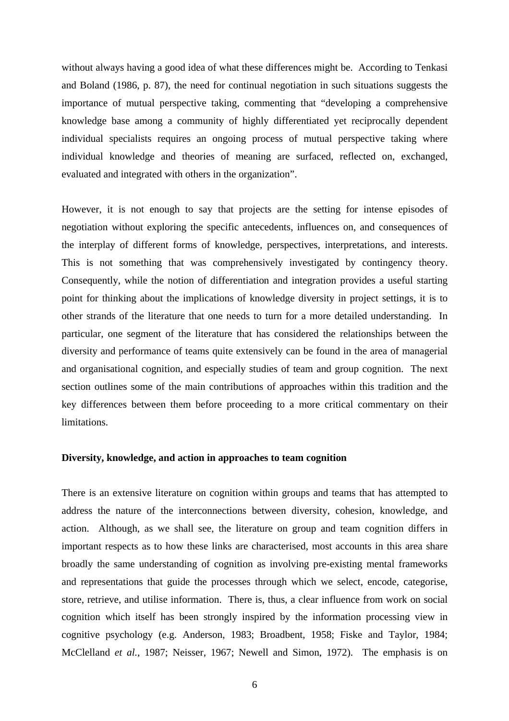without always having a good idea of what these differences might be. According to Tenkasi and Boland (1986, p. 87), the need for continual negotiation in such situations suggests the importance of mutual perspective taking, commenting that "developing a comprehensive knowledge base among a community of highly differentiated yet reciprocally dependent individual specialists requires an ongoing process of mutual perspective taking where individual knowledge and theories of meaning are surfaced, reflected on, exchanged, evaluated and integrated with others in the organization".

However, it is not enough to say that projects are the setting for intense episodes of negotiation without exploring the specific antecedents, influences on, and consequences of the interplay of different forms of knowledge, perspectives, interpretations, and interests. This is not something that was comprehensively investigated by contingency theory. Consequently, while the notion of differentiation and integration provides a useful starting point for thinking about the implications of knowledge diversity in project settings, it is to other strands of the literature that one needs to turn for a more detailed understanding. In particular, one segment of the literature that has considered the relationships between the diversity and performance of teams quite extensively can be found in the area of managerial and organisational cognition, and especially studies of team and group cognition. The next section outlines some of the main contributions of approaches within this tradition and the key differences between them before proceeding to a more critical commentary on their limitations.

### **Diversity, knowledge, and action in approaches to team cognition**

There is an extensive literature on cognition within groups and teams that has attempted to address the nature of the interconnections between diversity, cohesion, knowledge, and action. Although, as we shall see, the literature on group and team cognition differs in important respects as to how these links are characterised, most accounts in this area share broadly the same understanding of cognition as involving pre-existing mental frameworks and representations that guide the processes through which we select, encode, categorise, store, retrieve, and utilise information. There is, thus, a clear influence from work on social cognition which itself has been strongly inspired by the information processing view in cognitive psychology (e.g. Anderson, 1983; Broadbent, 1958; Fiske and Taylor, 1984; McClelland *et al.,* 1987; Neisser, 1967; Newell and Simon, 1972). The emphasis is on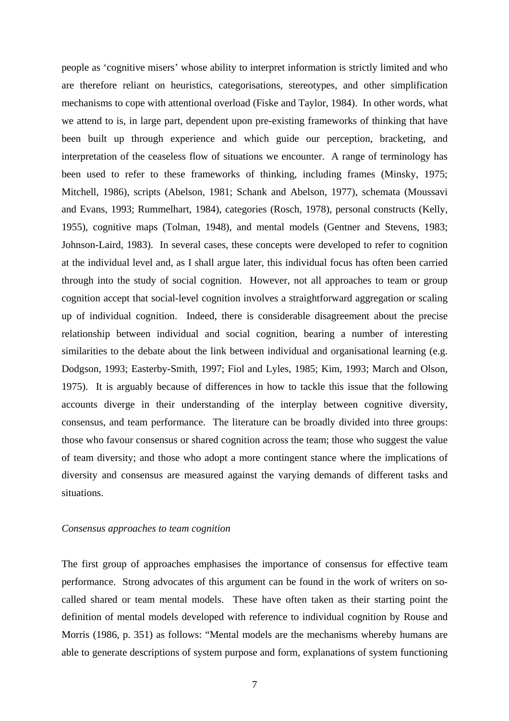people as 'cognitive misers' whose ability to interpret information is strictly limited and who are therefore reliant on heuristics, categorisations, stereotypes, and other simplification mechanisms to cope with attentional overload (Fiske and Taylor, 1984). In other words, what we attend to is, in large part, dependent upon pre-existing frameworks of thinking that have been built up through experience and which guide our perception, bracketing, and interpretation of the ceaseless flow of situations we encounter. A range of terminology has been used to refer to these frameworks of thinking, including frames (Minsky, 1975; Mitchell, 1986), scripts (Abelson, 1981; Schank and Abelson, 1977), schemata (Moussavi and Evans, 1993; Rummelhart, 1984), categories (Rosch, 1978), personal constructs (Kelly, 1955), cognitive maps (Tolman, 1948), and mental models (Gentner and Stevens, 1983; Johnson-Laird, 1983). In several cases, these concepts were developed to refer to cognition at the individual level and, as I shall argue later, this individual focus has often been carried through into the study of social cognition. However, not all approaches to team or group cognition accept that social-level cognition involves a straightforward aggregation or scaling up of individual cognition. Indeed, there is considerable disagreement about the precise relationship between individual and social cognition, bearing a number of interesting similarities to the debate about the link between individual and organisational learning (e.g. Dodgson, 1993; Easterby-Smith, 1997; Fiol and Lyles, 1985; Kim, 1993; March and Olson, 1975). It is arguably because of differences in how to tackle this issue that the following accounts diverge in their understanding of the interplay between cognitive diversity, consensus, and team performance. The literature can be broadly divided into three groups: those who favour consensus or shared cognition across the team; those who suggest the value of team diversity; and those who adopt a more contingent stance where the implications of diversity and consensus are measured against the varying demands of different tasks and situations.

#### *Consensus approaches to team cognition*

The first group of approaches emphasises the importance of consensus for effective team performance. Strong advocates of this argument can be found in the work of writers on socalled shared or team mental models. These have often taken as their starting point the definition of mental models developed with reference to individual cognition by Rouse and Morris (1986, p. 351) as follows: "Mental models are the mechanisms whereby humans are able to generate descriptions of system purpose and form, explanations of system functioning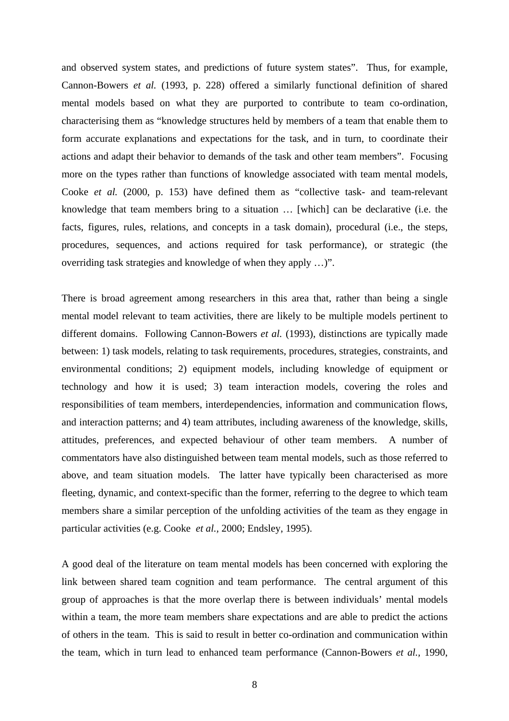and observed system states, and predictions of future system states". Thus, for example, Cannon-Bowers *et al.* (1993, p. 228) offered a similarly functional definition of shared mental models based on what they are purported to contribute to team co-ordination, characterising them as "knowledge structures held by members of a team that enable them to form accurate explanations and expectations for the task, and in turn, to coordinate their actions and adapt their behavior to demands of the task and other team members". Focusing more on the types rather than functions of knowledge associated with team mental models, Cooke *et al.* (2000, p. 153) have defined them as "collective task- and team-relevant knowledge that team members bring to a situation … [which] can be declarative (i.e. the facts, figures, rules, relations, and concepts in a task domain), procedural (i.e., the steps, procedures, sequences, and actions required for task performance), or strategic (the overriding task strategies and knowledge of when they apply …)".

There is broad agreement among researchers in this area that, rather than being a single mental model relevant to team activities, there are likely to be multiple models pertinent to different domains. Following Cannon-Bowers *et al.* (1993), distinctions are typically made between: 1) task models, relating to task requirements, procedures, strategies, constraints, and environmental conditions; 2) equipment models, including knowledge of equipment or technology and how it is used; 3) team interaction models, covering the roles and responsibilities of team members, interdependencies, information and communication flows, and interaction patterns; and 4) team attributes, including awareness of the knowledge, skills, attitudes, preferences, and expected behaviour of other team members. A number of commentators have also distinguished between team mental models, such as those referred to above, and team situation models. The latter have typically been characterised as more fleeting, dynamic, and context-specific than the former, referring to the degree to which team members share a similar perception of the unfolding activities of the team as they engage in particular activities (e.g. Cooke *et al.,* 2000; Endsley, 1995).

A good deal of the literature on team mental models has been concerned with exploring the link between shared team cognition and team performance. The central argument of this group of approaches is that the more overlap there is between individuals' mental models within a team, the more team members share expectations and are able to predict the actions of others in the team. This is said to result in better co-ordination and communication within the team, which in turn lead to enhanced team performance (Cannon-Bowers *et al.,* 1990,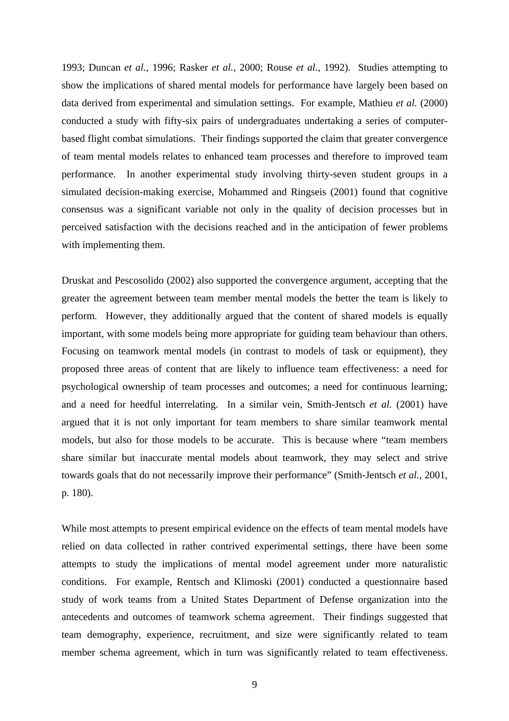1993; Duncan *et al.,* 1996; Rasker *et al.,* 2000; Rouse *et al.,* 1992). Studies attempting to show the implications of shared mental models for performance have largely been based on data derived from experimental and simulation settings. For example, Mathieu *et al.* (2000) conducted a study with fifty-six pairs of undergraduates undertaking a series of computerbased flight combat simulations. Their findings supported the claim that greater convergence of team mental models relates to enhanced team processes and therefore to improved team performance. In another experimental study involving thirty-seven student groups in a simulated decision-making exercise, Mohammed and Ringseis (2001) found that cognitive consensus was a significant variable not only in the quality of decision processes but in perceived satisfaction with the decisions reached and in the anticipation of fewer problems with implementing them.

Druskat and Pescosolido (2002) also supported the convergence argument, accepting that the greater the agreement between team member mental models the better the team is likely to perform. However, they additionally argued that the content of shared models is equally important, with some models being more appropriate for guiding team behaviour than others. Focusing on teamwork mental models (in contrast to models of task or equipment), they proposed three areas of content that are likely to influence team effectiveness: a need for psychological ownership of team processes and outcomes; a need for continuous learning; and a need for heedful interrelating. In a similar vein, Smith-Jentsch *et al.* (2001) have argued that it is not only important for team members to share similar teamwork mental models, but also for those models to be accurate. This is because where "team members share similar but inaccurate mental models about teamwork, they may select and strive towards goals that do not necessarily improve their performance" (Smith-Jentsch *et al.*, 2001, p. 180).

While most attempts to present empirical evidence on the effects of team mental models have relied on data collected in rather contrived experimental settings, there have been some attempts to study the implications of mental model agreement under more naturalistic conditions. For example, Rentsch and Klimoski (2001) conducted a questionnaire based study of work teams from a United States Department of Defense organization into the antecedents and outcomes of teamwork schema agreement. Their findings suggested that team demography, experience, recruitment, and size were significantly related to team member schema agreement, which in turn was significantly related to team effectiveness.

9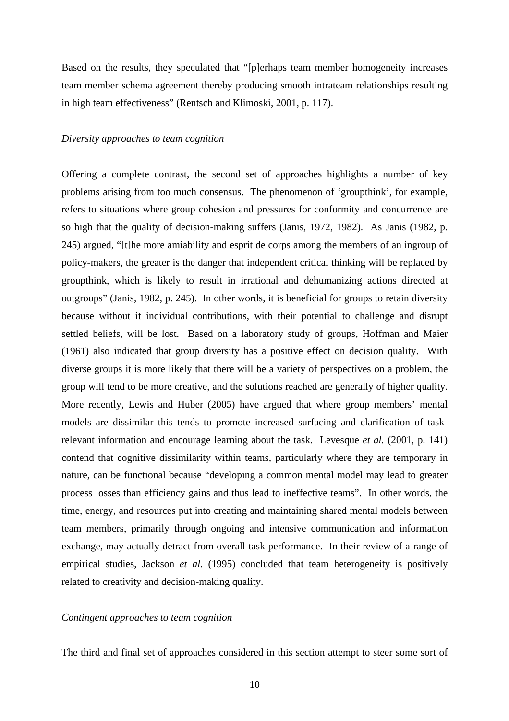Based on the results, they speculated that "[p]erhaps team member homogeneity increases team member schema agreement thereby producing smooth intrateam relationships resulting in high team effectiveness" (Rentsch and Klimoski, 2001, p. 117).

#### *Diversity approaches to team cognition*

Offering a complete contrast, the second set of approaches highlights a number of key problems arising from too much consensus. The phenomenon of 'groupthink', for example, refers to situations where group cohesion and pressures for conformity and concurrence are so high that the quality of decision-making suffers (Janis, 1972, 1982). As Janis (1982, p. 245) argued, "[t]he more amiability and esprit de corps among the members of an ingroup of policy-makers, the greater is the danger that independent critical thinking will be replaced by groupthink, which is likely to result in irrational and dehumanizing actions directed at outgroups" (Janis, 1982, p. 245). In other words, it is beneficial for groups to retain diversity because without it individual contributions, with their potential to challenge and disrupt settled beliefs, will be lost. Based on a laboratory study of groups, Hoffman and Maier (1961) also indicated that group diversity has a positive effect on decision quality. With diverse groups it is more likely that there will be a variety of perspectives on a problem, the group will tend to be more creative, and the solutions reached are generally of higher quality. More recently, Lewis and Huber (2005) have argued that where group members' mental models are dissimilar this tends to promote increased surfacing and clarification of taskrelevant information and encourage learning about the task. Levesque *et al.* (2001, p. 141) contend that cognitive dissimilarity within teams, particularly where they are temporary in nature, can be functional because "developing a common mental model may lead to greater process losses than efficiency gains and thus lead to ineffective teams". In other words, the time, energy, and resources put into creating and maintaining shared mental models between team members, primarily through ongoing and intensive communication and information exchange, may actually detract from overall task performance. In their review of a range of empirical studies, Jackson *et al.* (1995) concluded that team heterogeneity is positively related to creativity and decision-making quality.

#### *Contingent approaches to team cognition*

The third and final set of approaches considered in this section attempt to steer some sort of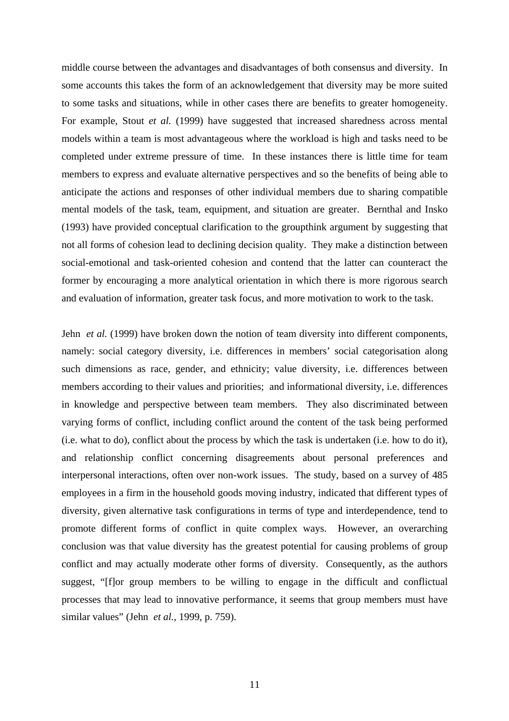middle course between the advantages and disadvantages of both consensus and diversity. In some accounts this takes the form of an acknowledgement that diversity may be more suited to some tasks and situations, while in other cases there are benefits to greater homogeneity. For example, Stout *et al.* (1999) have suggested that increased sharedness across mental models within a team is most advantageous where the workload is high and tasks need to be completed under extreme pressure of time. In these instances there is little time for team members to express and evaluate alternative perspectives and so the benefits of being able to anticipate the actions and responses of other individual members due to sharing compatible mental models of the task, team, equipment, and situation are greater. Bernthal and Insko (1993) have provided conceptual clarification to the groupthink argument by suggesting that not all forms of cohesion lead to declining decision quality. They make a distinction between social-emotional and task-oriented cohesion and contend that the latter can counteract the former by encouraging a more analytical orientation in which there is more rigorous search and evaluation of information, greater task focus, and more motivation to work to the task.

Jehn *et al.* (1999) have broken down the notion of team diversity into different components, namely: social category diversity, i.e. differences in members' social categorisation along such dimensions as race, gender, and ethnicity; value diversity, i.e. differences between members according to their values and priorities; and informational diversity, i.e. differences in knowledge and perspective between team members. They also discriminated between varying forms of conflict, including conflict around the content of the task being performed (i.e. what to do), conflict about the process by which the task is undertaken (i.e. how to do it), and relationship conflict concerning disagreements about personal preferences and interpersonal interactions, often over non-work issues. The study, based on a survey of 485 employees in a firm in the household goods moving industry, indicated that different types of diversity, given alternative task configurations in terms of type and interdependence, tend to promote different forms of conflict in quite complex ways. However, an overarching conclusion was that value diversity has the greatest potential for causing problems of group conflict and may actually moderate other forms of diversity. Consequently, as the authors suggest, "[f]or group members to be willing to engage in the difficult and conflictual processes that may lead to innovative performance, it seems that group members must have similar values" (Jehn *et al.,* 1999, p. 759).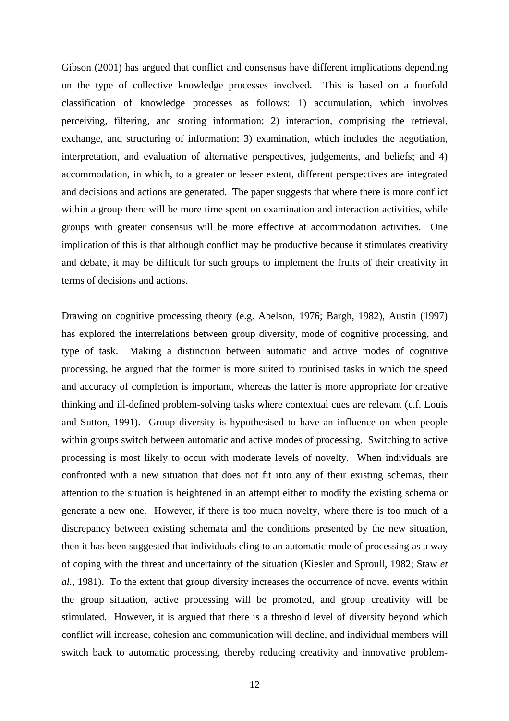Gibson (2001) has argued that conflict and consensus have different implications depending on the type of collective knowledge processes involved. This is based on a fourfold classification of knowledge processes as follows: 1) accumulation, which involves perceiving, filtering, and storing information; 2) interaction, comprising the retrieval, exchange, and structuring of information; 3) examination, which includes the negotiation, interpretation, and evaluation of alternative perspectives, judgements, and beliefs; and 4) accommodation, in which, to a greater or lesser extent, different perspectives are integrated and decisions and actions are generated. The paper suggests that where there is more conflict within a group there will be more time spent on examination and interaction activities, while groups with greater consensus will be more effective at accommodation activities. One implication of this is that although conflict may be productive because it stimulates creativity and debate, it may be difficult for such groups to implement the fruits of their creativity in terms of decisions and actions.

Drawing on cognitive processing theory (e.g. Abelson, 1976; Bargh, 1982), Austin (1997) has explored the interrelations between group diversity, mode of cognitive processing, and type of task. Making a distinction between automatic and active modes of cognitive processing, he argued that the former is more suited to routinised tasks in which the speed and accuracy of completion is important, whereas the latter is more appropriate for creative thinking and ill-defined problem-solving tasks where contextual cues are relevant (c.f. Louis and Sutton, 1991). Group diversity is hypothesised to have an influence on when people within groups switch between automatic and active modes of processing. Switching to active processing is most likely to occur with moderate levels of novelty. When individuals are confronted with a new situation that does not fit into any of their existing schemas, their attention to the situation is heightened in an attempt either to modify the existing schema or generate a new one. However, if there is too much novelty, where there is too much of a discrepancy between existing schemata and the conditions presented by the new situation, then it has been suggested that individuals cling to an automatic mode of processing as a way of coping with the threat and uncertainty of the situation (Kiesler and Sproull, 1982; Staw *et al.,* 1981). To the extent that group diversity increases the occurrence of novel events within the group situation, active processing will be promoted, and group creativity will be stimulated. However, it is argued that there is a threshold level of diversity beyond which conflict will increase, cohesion and communication will decline, and individual members will switch back to automatic processing, thereby reducing creativity and innovative problem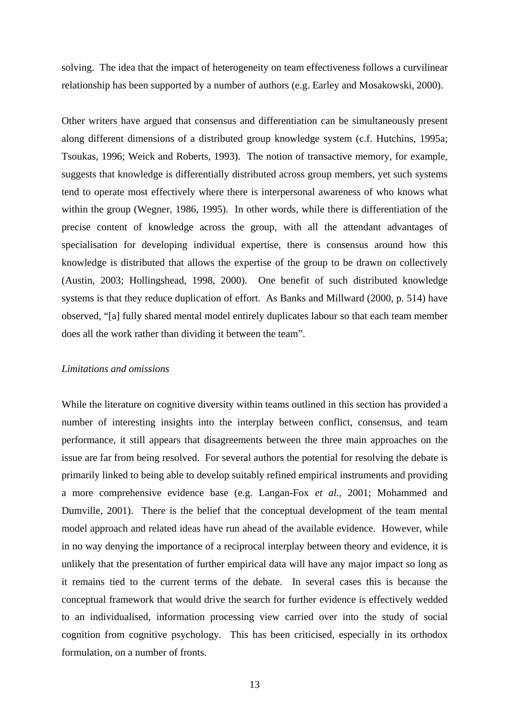solving. The idea that the impact of heterogeneity on team effectiveness follows a curvilinear relationship has been supported by a number of authors (e.g. Earley and Mosakowski, 2000).

Other writers have argued that consensus and differentiation can be simultaneously present along different dimensions of a distributed group knowledge system (c.f. Hutchins, 1995a; Tsoukas, 1996; Weick and Roberts, 1993). The notion of transactive memory, for example, suggests that knowledge is differentially distributed across group members, yet such systems tend to operate most effectively where there is interpersonal awareness of who knows what within the group (Wegner, 1986, 1995). In other words, while there is differentiation of the precise content of knowledge across the group, with all the attendant advantages of specialisation for developing individual expertise, there is consensus around how this knowledge is distributed that allows the expertise of the group to be drawn on collectively (Austin, 2003; Hollingshead, 1998, 2000). One benefit of such distributed knowledge systems is that they reduce duplication of effort. As Banks and Millward (2000, p. 514) have observed, "[a] fully shared mental model entirely duplicates labour so that each team member does all the work rather than dividing it between the team".

#### *Limitations and omissions*

While the literature on cognitive diversity within teams outlined in this section has provided a number of interesting insights into the interplay between conflict, consensus, and team performance, it still appears that disagreements between the three main approaches on the issue are far from being resolved. For several authors the potential for resolving the debate is primarily linked to being able to develop suitably refined empirical instruments and providing a more comprehensive evidence base (e.g. Langan-Fox *et al.,* 2001; Mohammed and Dumville, 2001). There is the belief that the conceptual development of the team mental model approach and related ideas have run ahead of the available evidence. However, while in no way denying the importance of a reciprocal interplay between theory and evidence, it is unlikely that the presentation of further empirical data will have any major impact so long as it remains tied to the current terms of the debate. In several cases this is because the conceptual framework that would drive the search for further evidence is effectively wedded to an individualised, information processing view carried over into the study of social cognition from cognitive psychology. This has been criticised, especially in its orthodox formulation, on a number of fronts.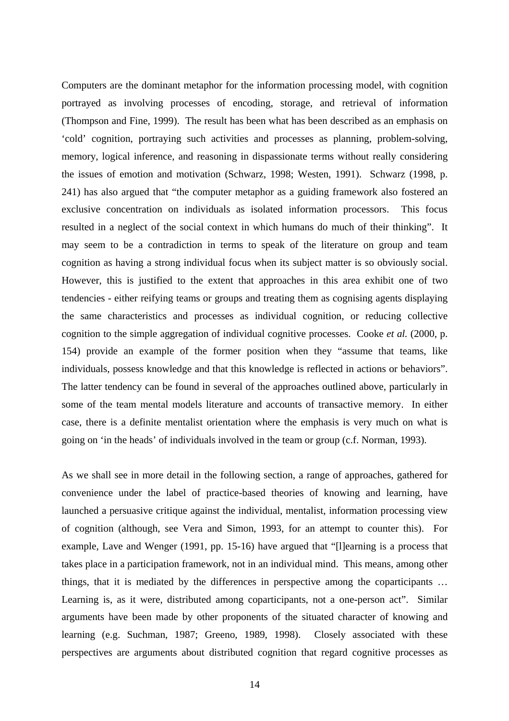Computers are the dominant metaphor for the information processing model, with cognition portrayed as involving processes of encoding, storage, and retrieval of information (Thompson and Fine, 1999). The result has been what has been described as an emphasis on 'cold' cognition, portraying such activities and processes as planning, problem-solving, memory, logical inference, and reasoning in dispassionate terms without really considering the issues of emotion and motivation (Schwarz, 1998; Westen, 1991). Schwarz (1998, p. 241) has also argued that "the computer metaphor as a guiding framework also fostered an exclusive concentration on individuals as isolated information processors. This focus resulted in a neglect of the social context in which humans do much of their thinking". It may seem to be a contradiction in terms to speak of the literature on group and team cognition as having a strong individual focus when its subject matter is so obviously social. However, this is justified to the extent that approaches in this area exhibit one of two tendencies - either reifying teams or groups and treating them as cognising agents displaying the same characteristics and processes as individual cognition, or reducing collective cognition to the simple aggregation of individual cognitive processes. Cooke *et al.* (2000, p. 154) provide an example of the former position when they "assume that teams, like individuals, possess knowledge and that this knowledge is reflected in actions or behaviors". The latter tendency can be found in several of the approaches outlined above, particularly in some of the team mental models literature and accounts of transactive memory. In either case, there is a definite mentalist orientation where the emphasis is very much on what is going on 'in the heads' of individuals involved in the team or group (c.f. Norman, 1993).

As we shall see in more detail in the following section, a range of approaches, gathered for convenience under the label of practice-based theories of knowing and learning, have launched a persuasive critique against the individual, mentalist, information processing view of cognition (although, see Vera and Simon, 1993, for an attempt to counter this). For example, Lave and Wenger (1991, pp. 15-16) have argued that "[l]earning is a process that takes place in a participation framework, not in an individual mind. This means, among other things, that it is mediated by the differences in perspective among the coparticipants … Learning is, as it were, distributed among coparticipants, not a one-person act". Similar arguments have been made by other proponents of the situated character of knowing and learning (e.g. Suchman, 1987; Greeno, 1989, 1998). Closely associated with these perspectives are arguments about distributed cognition that regard cognitive processes as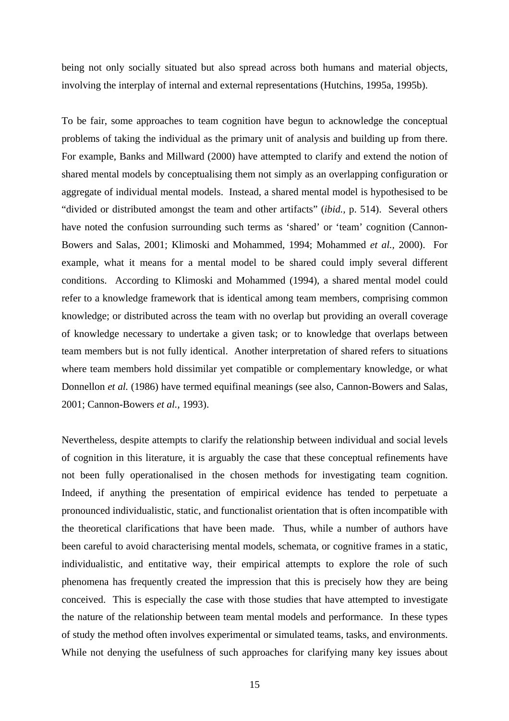being not only socially situated but also spread across both humans and material objects, involving the interplay of internal and external representations (Hutchins, 1995a, 1995b).

To be fair, some approaches to team cognition have begun to acknowledge the conceptual problems of taking the individual as the primary unit of analysis and building up from there. For example, Banks and Millward (2000) have attempted to clarify and extend the notion of shared mental models by conceptualising them not simply as an overlapping configuration or aggregate of individual mental models. Instead, a shared mental model is hypothesised to be "divided or distributed amongst the team and other artifacts" (*ibid.,* p. 514). Several others have noted the confusion surrounding such terms as 'shared' or 'team' cognition (Cannon-Bowers and Salas, 2001; Klimoski and Mohammed, 1994; Mohammed *et al.,* 2000). For example, what it means for a mental model to be shared could imply several different conditions. According to Klimoski and Mohammed (1994), a shared mental model could refer to a knowledge framework that is identical among team members, comprising common knowledge; or distributed across the team with no overlap but providing an overall coverage of knowledge necessary to undertake a given task; or to knowledge that overlaps between team members but is not fully identical. Another interpretation of shared refers to situations where team members hold dissimilar yet compatible or complementary knowledge, or what Donnellon *et al.* (1986) have termed equifinal meanings (see also, Cannon-Bowers and Salas, 2001; Cannon-Bowers *et al.,* 1993).

Nevertheless, despite attempts to clarify the relationship between individual and social levels of cognition in this literature, it is arguably the case that these conceptual refinements have not been fully operationalised in the chosen methods for investigating team cognition. Indeed, if anything the presentation of empirical evidence has tended to perpetuate a pronounced individualistic, static, and functionalist orientation that is often incompatible with the theoretical clarifications that have been made. Thus, while a number of authors have been careful to avoid characterising mental models, schemata, or cognitive frames in a static, individualistic, and entitative way, their empirical attempts to explore the role of such phenomena has frequently created the impression that this is precisely how they are being conceived. This is especially the case with those studies that have attempted to investigate the nature of the relationship between team mental models and performance. In these types of study the method often involves experimental or simulated teams, tasks, and environments. While not denying the usefulness of such approaches for clarifying many key issues about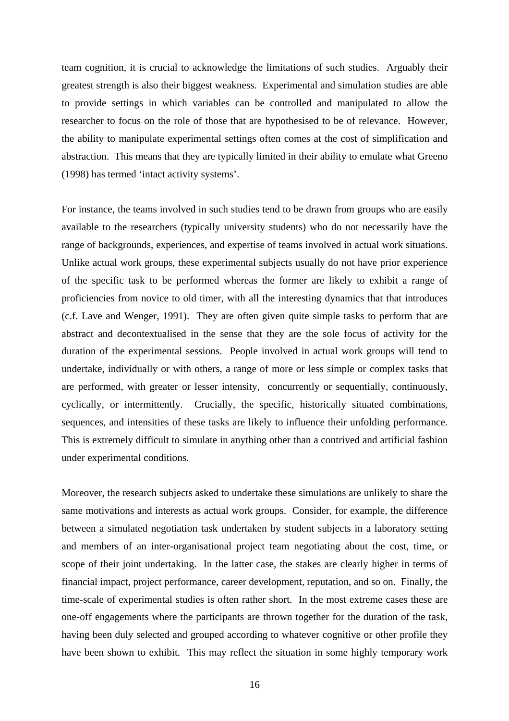team cognition, it is crucial to acknowledge the limitations of such studies. Arguably their greatest strength is also their biggest weakness. Experimental and simulation studies are able to provide settings in which variables can be controlled and manipulated to allow the researcher to focus on the role of those that are hypothesised to be of relevance. However, the ability to manipulate experimental settings often comes at the cost of simplification and abstraction. This means that they are typically limited in their ability to emulate what Greeno (1998) has termed 'intact activity systems'.

For instance, the teams involved in such studies tend to be drawn from groups who are easily available to the researchers (typically university students) who do not necessarily have the range of backgrounds, experiences, and expertise of teams involved in actual work situations. Unlike actual work groups, these experimental subjects usually do not have prior experience of the specific task to be performed whereas the former are likely to exhibit a range of proficiencies from novice to old timer, with all the interesting dynamics that that introduces (c.f. Lave and Wenger, 1991). They are often given quite simple tasks to perform that are abstract and decontextualised in the sense that they are the sole focus of activity for the duration of the experimental sessions. People involved in actual work groups will tend to undertake, individually or with others, a range of more or less simple or complex tasks that are performed, with greater or lesser intensity, concurrently or sequentially, continuously, cyclically, or intermittently. Crucially, the specific, historically situated combinations, sequences, and intensities of these tasks are likely to influence their unfolding performance. This is extremely difficult to simulate in anything other than a contrived and artificial fashion under experimental conditions.

Moreover, the research subjects asked to undertake these simulations are unlikely to share the same motivations and interests as actual work groups. Consider, for example, the difference between a simulated negotiation task undertaken by student subjects in a laboratory setting and members of an inter-organisational project team negotiating about the cost, time, or scope of their joint undertaking. In the latter case, the stakes are clearly higher in terms of financial impact, project performance, career development, reputation, and so on. Finally, the time-scale of experimental studies is often rather short. In the most extreme cases these are one-off engagements where the participants are thrown together for the duration of the task, having been duly selected and grouped according to whatever cognitive or other profile they have been shown to exhibit. This may reflect the situation in some highly temporary work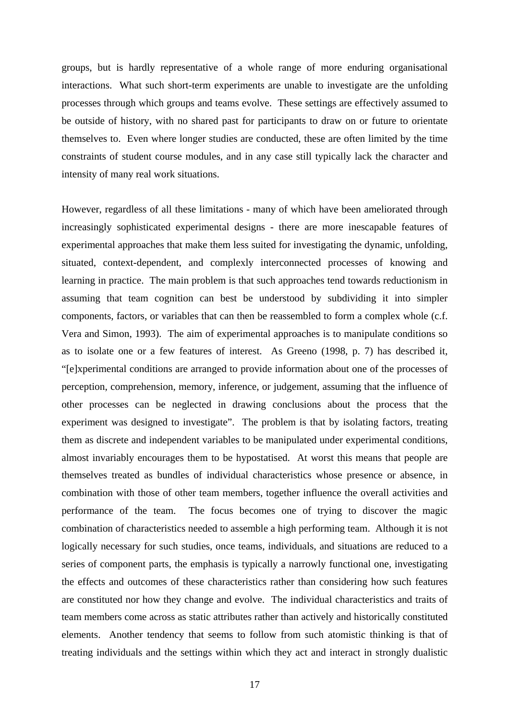groups, but is hardly representative of a whole range of more enduring organisational interactions. What such short-term experiments are unable to investigate are the unfolding processes through which groups and teams evolve. These settings are effectively assumed to be outside of history, with no shared past for participants to draw on or future to orientate themselves to. Even where longer studies are conducted, these are often limited by the time constraints of student course modules, and in any case still typically lack the character and intensity of many real work situations.

However, regardless of all these limitations - many of which have been ameliorated through increasingly sophisticated experimental designs - there are more inescapable features of experimental approaches that make them less suited for investigating the dynamic, unfolding, situated, context-dependent, and complexly interconnected processes of knowing and learning in practice. The main problem is that such approaches tend towards reductionism in assuming that team cognition can best be understood by subdividing it into simpler components, factors, or variables that can then be reassembled to form a complex whole (c.f. Vera and Simon, 1993). The aim of experimental approaches is to manipulate conditions so as to isolate one or a few features of interest. As Greeno (1998, p. 7) has described it, "[e]xperimental conditions are arranged to provide information about one of the processes of perception, comprehension, memory, inference, or judgement, assuming that the influence of other processes can be neglected in drawing conclusions about the process that the experiment was designed to investigate". The problem is that by isolating factors, treating them as discrete and independent variables to be manipulated under experimental conditions, almost invariably encourages them to be hypostatised. At worst this means that people are themselves treated as bundles of individual characteristics whose presence or absence, in combination with those of other team members, together influence the overall activities and performance of the team. The focus becomes one of trying to discover the magic combination of characteristics needed to assemble a high performing team. Although it is not logically necessary for such studies, once teams, individuals, and situations are reduced to a series of component parts, the emphasis is typically a narrowly functional one, investigating the effects and outcomes of these characteristics rather than considering how such features are constituted nor how they change and evolve. The individual characteristics and traits of team members come across as static attributes rather than actively and historically constituted elements. Another tendency that seems to follow from such atomistic thinking is that of treating individuals and the settings within which they act and interact in strongly dualistic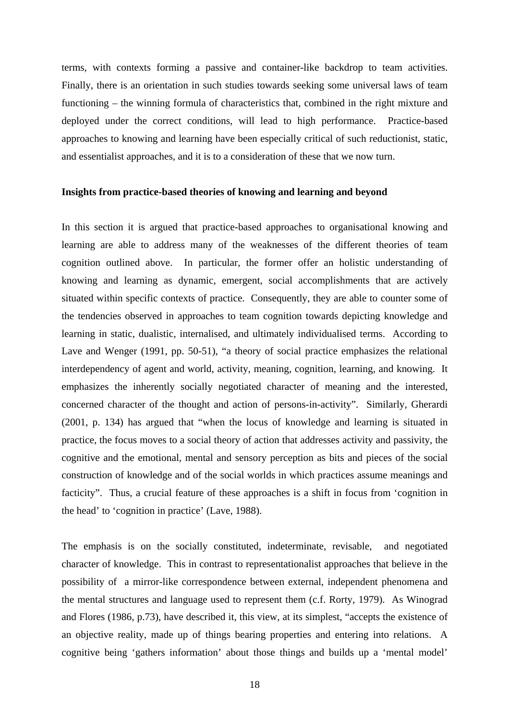terms, with contexts forming a passive and container-like backdrop to team activities. Finally, there is an orientation in such studies towards seeking some universal laws of team functioning – the winning formula of characteristics that, combined in the right mixture and deployed under the correct conditions, will lead to high performance. Practice-based approaches to knowing and learning have been especially critical of such reductionist, static, and essentialist approaches, and it is to a consideration of these that we now turn.

#### **Insights from practice-based theories of knowing and learning and beyond**

In this section it is argued that practice-based approaches to organisational knowing and learning are able to address many of the weaknesses of the different theories of team cognition outlined above. In particular, the former offer an holistic understanding of knowing and learning as dynamic, emergent, social accomplishments that are actively situated within specific contexts of practice. Consequently, they are able to counter some of the tendencies observed in approaches to team cognition towards depicting knowledge and learning in static, dualistic, internalised, and ultimately individualised terms. According to Lave and Wenger (1991, pp. 50-51), "a theory of social practice emphasizes the relational interdependency of agent and world, activity, meaning, cognition, learning, and knowing. It emphasizes the inherently socially negotiated character of meaning and the interested, concerned character of the thought and action of persons-in-activity". Similarly, Gherardi (2001, p. 134) has argued that "when the locus of knowledge and learning is situated in practice, the focus moves to a social theory of action that addresses activity and passivity, the cognitive and the emotional, mental and sensory perception as bits and pieces of the social construction of knowledge and of the social worlds in which practices assume meanings and facticity". Thus, a crucial feature of these approaches is a shift in focus from 'cognition in the head' to 'cognition in practice' (Lave, 1988).

The emphasis is on the socially constituted, indeterminate, revisable, and negotiated character of knowledge. This in contrast to representationalist approaches that believe in the possibility of a mirror-like correspondence between external, independent phenomena and the mental structures and language used to represent them (c.f. Rorty, 1979). As Winograd and Flores (1986, p.73), have described it, this view, at its simplest, "accepts the existence of an objective reality, made up of things bearing properties and entering into relations. A cognitive being 'gathers information' about those things and builds up a 'mental model'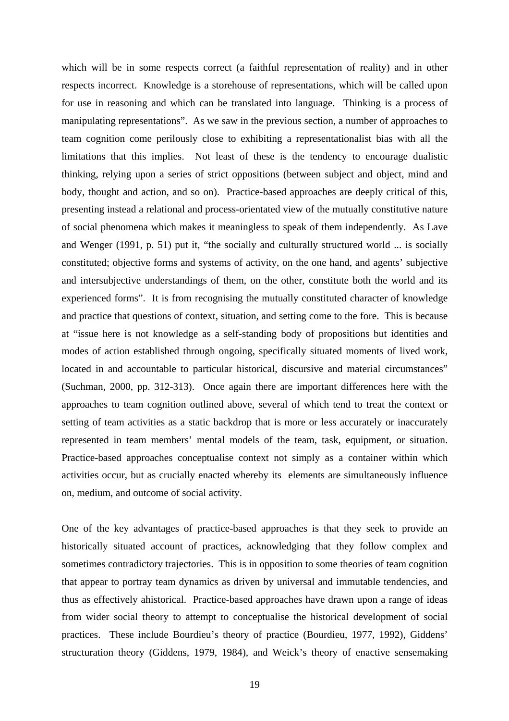which will be in some respects correct (a faithful representation of reality) and in other respects incorrect. Knowledge is a storehouse of representations, which will be called upon for use in reasoning and which can be translated into language. Thinking is a process of manipulating representations". As we saw in the previous section, a number of approaches to team cognition come perilously close to exhibiting a representationalist bias with all the limitations that this implies. Not least of these is the tendency to encourage dualistic thinking, relying upon a series of strict oppositions (between subject and object, mind and body, thought and action, and so on). Practice-based approaches are deeply critical of this, presenting instead a relational and process-orientated view of the mutually constitutive nature of social phenomena which makes it meaningless to speak of them independently. As Lave and Wenger (1991, p. 51) put it, "the socially and culturally structured world ... is socially constituted; objective forms and systems of activity, on the one hand, and agents' subjective and intersubjective understandings of them, on the other, constitute both the world and its experienced forms". It is from recognising the mutually constituted character of knowledge and practice that questions of context, situation, and setting come to the fore. This is because at "issue here is not knowledge as a self-standing body of propositions but identities and modes of action established through ongoing, specifically situated moments of lived work, located in and accountable to particular historical, discursive and material circumstances" (Suchman, 2000, pp. 312-313). Once again there are important differences here with the approaches to team cognition outlined above, several of which tend to treat the context or setting of team activities as a static backdrop that is more or less accurately or inaccurately represented in team members' mental models of the team, task, equipment, or situation. Practice-based approaches conceptualise context not simply as a container within which activities occur, but as crucially enacted whereby its elements are simultaneously influence on, medium, and outcome of social activity.

One of the key advantages of practice-based approaches is that they seek to provide an historically situated account of practices, acknowledging that they follow complex and sometimes contradictory trajectories. This is in opposition to some theories of team cognition that appear to portray team dynamics as driven by universal and immutable tendencies, and thus as effectively ahistorical. Practice-based approaches have drawn upon a range of ideas from wider social theory to attempt to conceptualise the historical development of social practices. These include Bourdieu's theory of practice (Bourdieu, 1977, 1992), Giddens' structuration theory (Giddens, 1979, 1984), and Weick's theory of enactive sensemaking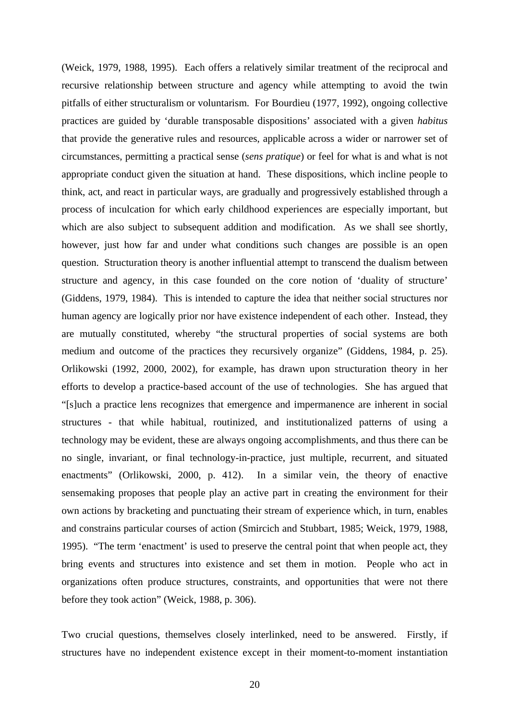(Weick, 1979, 1988, 1995). Each offers a relatively similar treatment of the reciprocal and recursive relationship between structure and agency while attempting to avoid the twin pitfalls of either structuralism or voluntarism. For Bourdieu (1977, 1992), ongoing collective practices are guided by 'durable transposable dispositions' associated with a given *habitus*  that provide the generative rules and resources, applicable across a wider or narrower set of circumstances, permitting a practical sense (*sens pratique*) or feel for what is and what is not appropriate conduct given the situation at hand. These dispositions, which incline people to think, act, and react in particular ways, are gradually and progressively established through a process of inculcation for which early childhood experiences are especially important, but which are also subject to subsequent addition and modification. As we shall see shortly, however, just how far and under what conditions such changes are possible is an open question. Structuration theory is another influential attempt to transcend the dualism between structure and agency, in this case founded on the core notion of 'duality of structure' (Giddens, 1979, 1984). This is intended to capture the idea that neither social structures nor human agency are logically prior nor have existence independent of each other. Instead, they are mutually constituted, whereby "the structural properties of social systems are both medium and outcome of the practices they recursively organize" (Giddens, 1984, p. 25). Orlikowski (1992, 2000, 2002), for example, has drawn upon structuration theory in her efforts to develop a practice-based account of the use of technologies. She has argued that "[s]uch a practice lens recognizes that emergence and impermanence are inherent in social structures - that while habitual, routinized, and institutionalized patterns of using a technology may be evident, these are always ongoing accomplishments, and thus there can be no single, invariant, or final technology-in-practice, just multiple, recurrent, and situated enactments" (Orlikowski, 2000, p. 412). In a similar vein, the theory of enactive sensemaking proposes that people play an active part in creating the environment for their own actions by bracketing and punctuating their stream of experience which, in turn, enables and constrains particular courses of action (Smircich and Stubbart, 1985; Weick, 1979, 1988, 1995). "The term 'enactment' is used to preserve the central point that when people act, they bring events and structures into existence and set them in motion. People who act in organizations often produce structures, constraints, and opportunities that were not there before they took action" (Weick, 1988, p. 306).

Two crucial questions, themselves closely interlinked, need to be answered. Firstly, if structures have no independent existence except in their moment-to-moment instantiation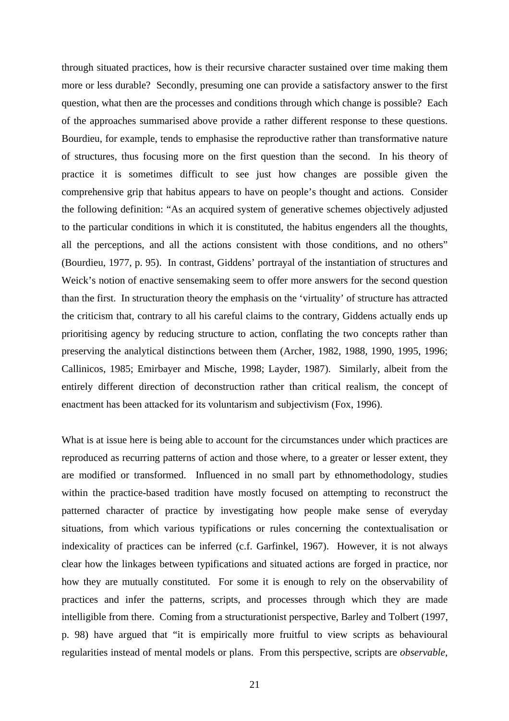through situated practices, how is their recursive character sustained over time making them more or less durable? Secondly, presuming one can provide a satisfactory answer to the first question, what then are the processes and conditions through which change is possible? Each of the approaches summarised above provide a rather different response to these questions. Bourdieu, for example, tends to emphasise the reproductive rather than transformative nature of structures, thus focusing more on the first question than the second. In his theory of practice it is sometimes difficult to see just how changes are possible given the comprehensive grip that habitus appears to have on people's thought and actions. Consider the following definition: "As an acquired system of generative schemes objectively adjusted to the particular conditions in which it is constituted, the habitus engenders all the thoughts, all the perceptions, and all the actions consistent with those conditions, and no others" (Bourdieu, 1977, p. 95). In contrast, Giddens' portrayal of the instantiation of structures and Weick's notion of enactive sensemaking seem to offer more answers for the second question than the first. In structuration theory the emphasis on the 'virtuality' of structure has attracted the criticism that, contrary to all his careful claims to the contrary, Giddens actually ends up prioritising agency by reducing structure to action, conflating the two concepts rather than preserving the analytical distinctions between them (Archer, 1982, 1988, 1990, 1995, 1996; Callinicos, 1985; Emirbayer and Mische, 1998; Layder, 1987). Similarly, albeit from the entirely different direction of deconstruction rather than critical realism, the concept of enactment has been attacked for its voluntarism and subjectivism (Fox, 1996).

What is at issue here is being able to account for the circumstances under which practices are reproduced as recurring patterns of action and those where, to a greater or lesser extent, they are modified or transformed. Influenced in no small part by ethnomethodology, studies within the practice-based tradition have mostly focused on attempting to reconstruct the patterned character of practice by investigating how people make sense of everyday situations, from which various typifications or rules concerning the contextualisation or indexicality of practices can be inferred (c.f. Garfinkel, 1967). However, it is not always clear how the linkages between typifications and situated actions are forged in practice, nor how they are mutually constituted. For some it is enough to rely on the observability of practices and infer the patterns, scripts, and processes through which they are made intelligible from there. Coming from a structurationist perspective, Barley and Tolbert (1997, p. 98) have argued that "it is empirically more fruitful to view scripts as behavioural regularities instead of mental models or plans. From this perspective, scripts are *observable,*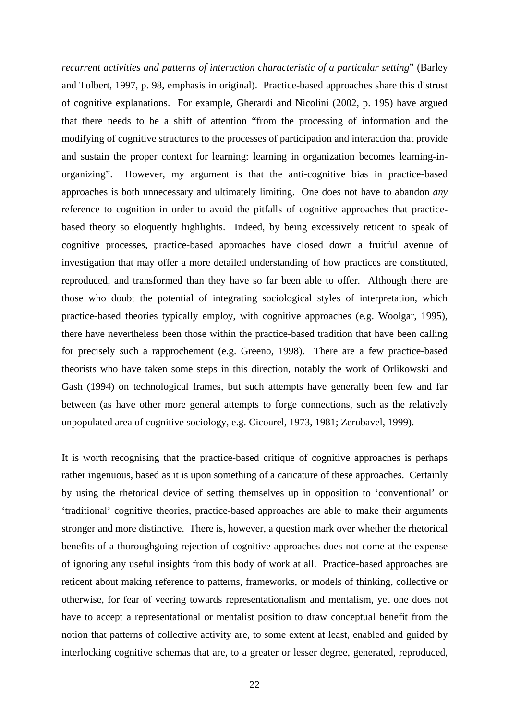*recurrent activities and patterns of interaction characteristic of a particular setting*" (Barley and Tolbert, 1997, p. 98, emphasis in original). Practice-based approaches share this distrust of cognitive explanations. For example, Gherardi and Nicolini (2002, p. 195) have argued that there needs to be a shift of attention "from the processing of information and the modifying of cognitive structures to the processes of participation and interaction that provide and sustain the proper context for learning: learning in organization becomes learning-inorganizing". However, my argument is that the anti-cognitive bias in practice-based approaches is both unnecessary and ultimately limiting. One does not have to abandon *any*  reference to cognition in order to avoid the pitfalls of cognitive approaches that practicebased theory so eloquently highlights. Indeed, by being excessively reticent to speak of cognitive processes, practice-based approaches have closed down a fruitful avenue of investigation that may offer a more detailed understanding of how practices are constituted, reproduced, and transformed than they have so far been able to offer. Although there are those who doubt the potential of integrating sociological styles of interpretation, which practice-based theories typically employ, with cognitive approaches (e.g. Woolgar, 1995), there have nevertheless been those within the practice-based tradition that have been calling for precisely such a rapprochement (e.g. Greeno, 1998). There are a few practice-based theorists who have taken some steps in this direction, notably the work of Orlikowski and Gash (1994) on technological frames, but such attempts have generally been few and far between (as have other more general attempts to forge connections, such as the relatively unpopulated area of cognitive sociology, e.g. Cicourel, 1973, 1981; Zerubavel, 1999).

It is worth recognising that the practice-based critique of cognitive approaches is perhaps rather ingenuous, based as it is upon something of a caricature of these approaches. Certainly by using the rhetorical device of setting themselves up in opposition to 'conventional' or 'traditional' cognitive theories, practice-based approaches are able to make their arguments stronger and more distinctive. There is, however, a question mark over whether the rhetorical benefits of a thoroughgoing rejection of cognitive approaches does not come at the expense of ignoring any useful insights from this body of work at all. Practice-based approaches are reticent about making reference to patterns, frameworks, or models of thinking, collective or otherwise, for fear of veering towards representationalism and mentalism, yet one does not have to accept a representational or mentalist position to draw conceptual benefit from the notion that patterns of collective activity are, to some extent at least, enabled and guided by interlocking cognitive schemas that are, to a greater or lesser degree, generated, reproduced,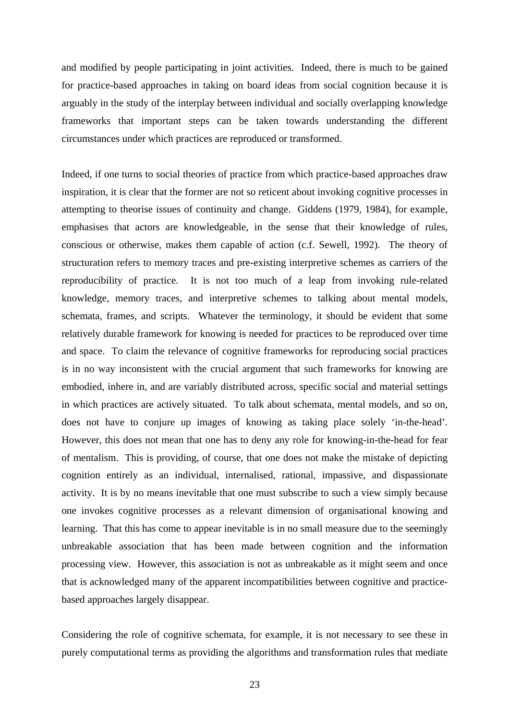and modified by people participating in joint activities. Indeed, there is much to be gained for practice-based approaches in taking on board ideas from social cognition because it is arguably in the study of the interplay between individual and socially overlapping knowledge frameworks that important steps can be taken towards understanding the different circumstances under which practices are reproduced or transformed.

Indeed, if one turns to social theories of practice from which practice-based approaches draw inspiration, it is clear that the former are not so reticent about invoking cognitive processes in attempting to theorise issues of continuity and change. Giddens (1979, 1984), for example, emphasises that actors are knowledgeable, in the sense that their knowledge of rules, conscious or otherwise, makes them capable of action (c.f. Sewell, 1992). The theory of structuration refers to memory traces and pre-existing interpretive schemes as carriers of the reproducibility of practice. It is not too much of a leap from invoking rule-related knowledge, memory traces, and interpretive schemes to talking about mental models, schemata, frames, and scripts. Whatever the terminology, it should be evident that some relatively durable framework for knowing is needed for practices to be reproduced over time and space. To claim the relevance of cognitive frameworks for reproducing social practices is in no way inconsistent with the crucial argument that such frameworks for knowing are embodied, inhere in, and are variably distributed across, specific social and material settings in which practices are actively situated. To talk about schemata, mental models, and so on, does not have to conjure up images of knowing as taking place solely 'in-the-head'. However, this does not mean that one has to deny any role for knowing-in-the-head for fear of mentalism. This is providing, of course, that one does not make the mistake of depicting cognition entirely as an individual, internalised, rational, impassive, and dispassionate activity. It is by no means inevitable that one must subscribe to such a view simply because one invokes cognitive processes as a relevant dimension of organisational knowing and learning. That this has come to appear inevitable is in no small measure due to the seemingly unbreakable association that has been made between cognition and the information processing view. However, this association is not as unbreakable as it might seem and once that is acknowledged many of the apparent incompatibilities between cognitive and practicebased approaches largely disappear.

Considering the role of cognitive schemata, for example, it is not necessary to see these in purely computational terms as providing the algorithms and transformation rules that mediate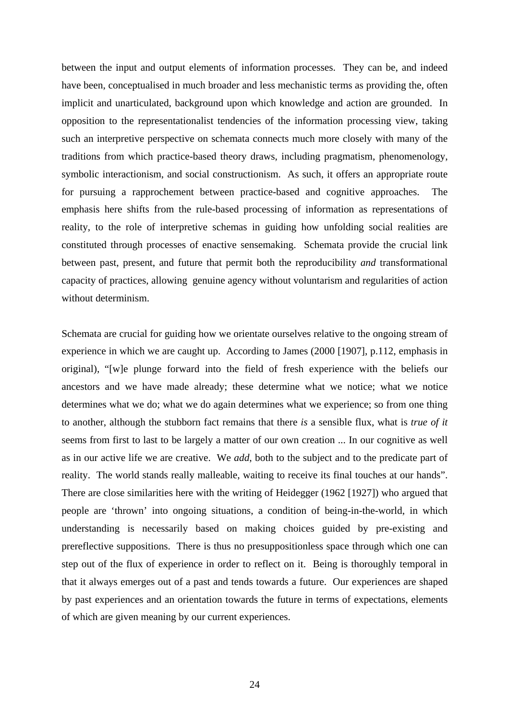between the input and output elements of information processes. They can be, and indeed have been, conceptualised in much broader and less mechanistic terms as providing the, often implicit and unarticulated, background upon which knowledge and action are grounded. In opposition to the representationalist tendencies of the information processing view, taking such an interpretive perspective on schemata connects much more closely with many of the traditions from which practice-based theory draws, including pragmatism, phenomenology, symbolic interactionism, and social constructionism. As such, it offers an appropriate route for pursuing a rapprochement between practice-based and cognitive approaches. The emphasis here shifts from the rule-based processing of information as representations of reality, to the role of interpretive schemas in guiding how unfolding social realities are constituted through processes of enactive sensemaking. Schemata provide the crucial link between past, present, and future that permit both the reproducibility *and* transformational capacity of practices, allowing genuine agency without voluntarism and regularities of action without determinism.

Schemata are crucial for guiding how we orientate ourselves relative to the ongoing stream of experience in which we are caught up. According to James (2000 [1907], p.112, emphasis in original), "[w]e plunge forward into the field of fresh experience with the beliefs our ancestors and we have made already; these determine what we notice; what we notice determines what we do; what we do again determines what we experience; so from one thing to another, although the stubborn fact remains that there *is* a sensible flux, what is *true of it*  seems from first to last to be largely a matter of our own creation ... In our cognitive as well as in our active life we are creative. We *add*, both to the subject and to the predicate part of reality. The world stands really malleable, waiting to receive its final touches at our hands". There are close similarities here with the writing of Heidegger (1962 [1927]) who argued that people are 'thrown' into ongoing situations, a condition of being-in-the-world, in which understanding is necessarily based on making choices guided by pre-existing and prereflective suppositions. There is thus no presuppositionless space through which one can step out of the flux of experience in order to reflect on it. Being is thoroughly temporal in that it always emerges out of a past and tends towards a future. Our experiences are shaped by past experiences and an orientation towards the future in terms of expectations, elements of which are given meaning by our current experiences.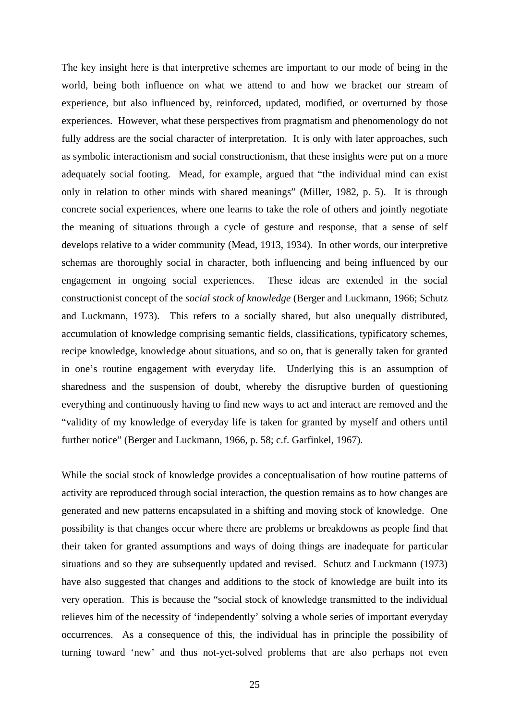The key insight here is that interpretive schemes are important to our mode of being in the world, being both influence on what we attend to and how we bracket our stream of experience, but also influenced by, reinforced, updated, modified, or overturned by those experiences. However, what these perspectives from pragmatism and phenomenology do not fully address are the social character of interpretation. It is only with later approaches, such as symbolic interactionism and social constructionism, that these insights were put on a more adequately social footing. Mead, for example, argued that "the individual mind can exist only in relation to other minds with shared meanings" (Miller, 1982, p. 5). It is through concrete social experiences, where one learns to take the role of others and jointly negotiate the meaning of situations through a cycle of gesture and response, that a sense of self develops relative to a wider community (Mead, 1913, 1934). In other words, our interpretive schemas are thoroughly social in character, both influencing and being influenced by our engagement in ongoing social experiences. These ideas are extended in the social constructionist concept of the *social stock of knowledge* (Berger and Luckmann, 1966; Schutz and Luckmann, 1973). This refers to a socially shared, but also unequally distributed, accumulation of knowledge comprising semantic fields, classifications, typificatory schemes, recipe knowledge, knowledge about situations, and so on, that is generally taken for granted in one's routine engagement with everyday life. Underlying this is an assumption of sharedness and the suspension of doubt, whereby the disruptive burden of questioning everything and continuously having to find new ways to act and interact are removed and the "validity of my knowledge of everyday life is taken for granted by myself and others until further notice" (Berger and Luckmann, 1966, p. 58; c.f. Garfinkel, 1967).

While the social stock of knowledge provides a conceptualisation of how routine patterns of activity are reproduced through social interaction, the question remains as to how changes are generated and new patterns encapsulated in a shifting and moving stock of knowledge. One possibility is that changes occur where there are problems or breakdowns as people find that their taken for granted assumptions and ways of doing things are inadequate for particular situations and so they are subsequently updated and revised. Schutz and Luckmann (1973) have also suggested that changes and additions to the stock of knowledge are built into its very operation. This is because the "social stock of knowledge transmitted to the individual relieves him of the necessity of 'independently' solving a whole series of important everyday occurrences. As a consequence of this, the individual has in principle the possibility of turning toward 'new' and thus not-yet-solved problems that are also perhaps not even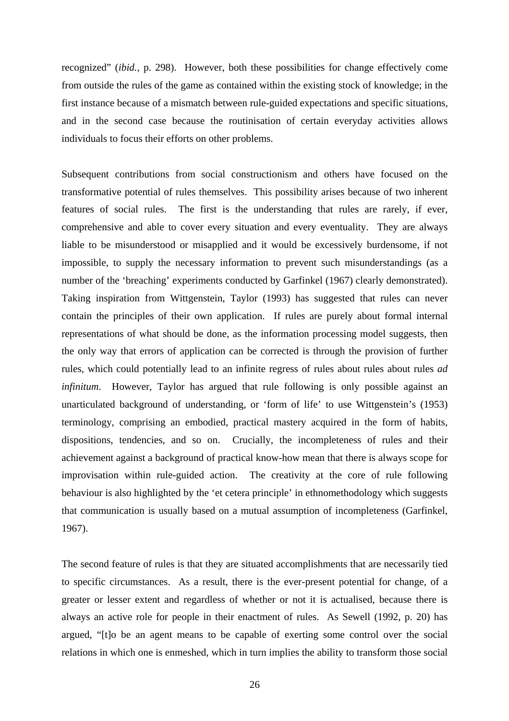recognized" (*ibid.,* p. 298). However, both these possibilities for change effectively come from outside the rules of the game as contained within the existing stock of knowledge; in the first instance because of a mismatch between rule-guided expectations and specific situations, and in the second case because the routinisation of certain everyday activities allows individuals to focus their efforts on other problems.

Subsequent contributions from social constructionism and others have focused on the transformative potential of rules themselves. This possibility arises because of two inherent features of social rules. The first is the understanding that rules are rarely, if ever, comprehensive and able to cover every situation and every eventuality. They are always liable to be misunderstood or misapplied and it would be excessively burdensome, if not impossible, to supply the necessary information to prevent such misunderstandings (as a number of the 'breaching' experiments conducted by Garfinkel (1967) clearly demonstrated). Taking inspiration from Wittgenstein, Taylor (1993) has suggested that rules can never contain the principles of their own application. If rules are purely about formal internal representations of what should be done, as the information processing model suggests, then the only way that errors of application can be corrected is through the provision of further rules, which could potentially lead to an infinite regress of rules about rules about rules *ad infinitum*. However, Taylor has argued that rule following is only possible against an unarticulated background of understanding, or 'form of life' to use Wittgenstein's (1953) terminology, comprising an embodied, practical mastery acquired in the form of habits, dispositions, tendencies, and so on. Crucially, the incompleteness of rules and their achievement against a background of practical know-how mean that there is always scope for improvisation within rule-guided action. The creativity at the core of rule following behaviour is also highlighted by the 'et cetera principle' in ethnomethodology which suggests that communication is usually based on a mutual assumption of incompleteness (Garfinkel, 1967).

The second feature of rules is that they are situated accomplishments that are necessarily tied to specific circumstances. As a result, there is the ever-present potential for change, of a greater or lesser extent and regardless of whether or not it is actualised, because there is always an active role for people in their enactment of rules. As Sewell (1992, p. 20) has argued, "[t]o be an agent means to be capable of exerting some control over the social relations in which one is enmeshed, which in turn implies the ability to transform those social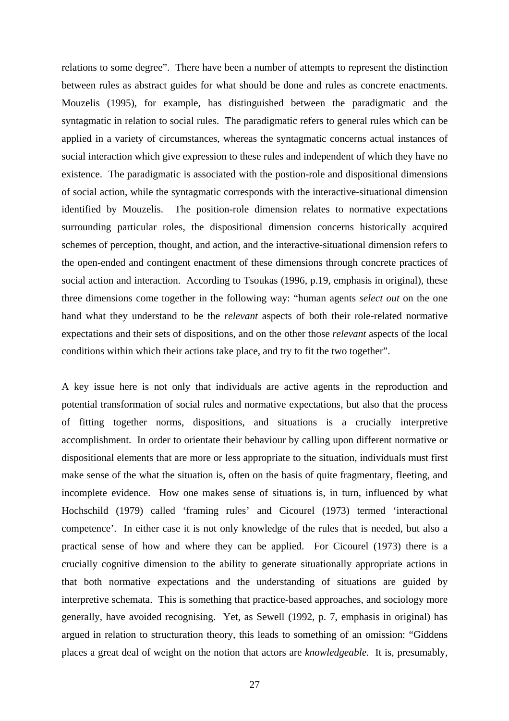relations to some degree". There have been a number of attempts to represent the distinction between rules as abstract guides for what should be done and rules as concrete enactments. Mouzelis (1995), for example, has distinguished between the paradigmatic and the syntagmatic in relation to social rules. The paradigmatic refers to general rules which can be applied in a variety of circumstances, whereas the syntagmatic concerns actual instances of social interaction which give expression to these rules and independent of which they have no existence. The paradigmatic is associated with the postion-role and dispositional dimensions of social action, while the syntagmatic corresponds with the interactive-situational dimension identified by Mouzelis. The position-role dimension relates to normative expectations surrounding particular roles, the dispositional dimension concerns historically acquired schemes of perception, thought, and action, and the interactive-situational dimension refers to the open-ended and contingent enactment of these dimensions through concrete practices of social action and interaction. According to Tsoukas (1996, p.19, emphasis in original), these three dimensions come together in the following way: "human agents *select out* on the one hand what they understand to be the *relevant* aspects of both their role-related normative expectations and their sets of dispositions, and on the other those *relevant* aspects of the local conditions within which their actions take place, and try to fit the two together".

A key issue here is not only that individuals are active agents in the reproduction and potential transformation of social rules and normative expectations, but also that the process of fitting together norms, dispositions, and situations is a crucially interpretive accomplishment. In order to orientate their behaviour by calling upon different normative or dispositional elements that are more or less appropriate to the situation, individuals must first make sense of the what the situation is, often on the basis of quite fragmentary, fleeting, and incomplete evidence. How one makes sense of situations is, in turn, influenced by what Hochschild (1979) called 'framing rules' and Cicourel (1973) termed 'interactional competence'. In either case it is not only knowledge of the rules that is needed, but also a practical sense of how and where they can be applied. For Cicourel (1973) there is a crucially cognitive dimension to the ability to generate situationally appropriate actions in that both normative expectations and the understanding of situations are guided by interpretive schemata. This is something that practice-based approaches, and sociology more generally, have avoided recognising. Yet, as Sewell (1992, p. 7, emphasis in original) has argued in relation to structuration theory, this leads to something of an omission: "Giddens places a great deal of weight on the notion that actors are *knowledgeable.* It is, presumably,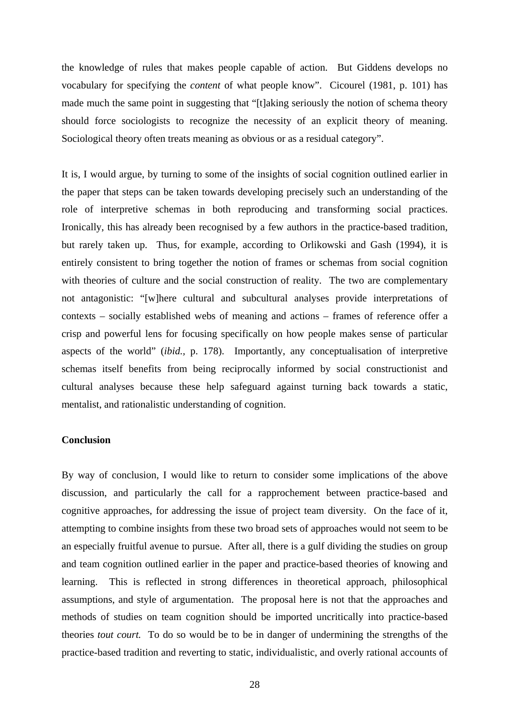the knowledge of rules that makes people capable of action. But Giddens develops no vocabulary for specifying the *content* of what people know". Cicourel (1981, p. 101) has made much the same point in suggesting that "[t]aking seriously the notion of schema theory should force sociologists to recognize the necessity of an explicit theory of meaning. Sociological theory often treats meaning as obvious or as a residual category".

It is, I would argue, by turning to some of the insights of social cognition outlined earlier in the paper that steps can be taken towards developing precisely such an understanding of the role of interpretive schemas in both reproducing and transforming social practices. Ironically, this has already been recognised by a few authors in the practice-based tradition, but rarely taken up. Thus, for example, according to Orlikowski and Gash (1994), it is entirely consistent to bring together the notion of frames or schemas from social cognition with theories of culture and the social construction of reality. The two are complementary not antagonistic: "[w]here cultural and subcultural analyses provide interpretations of contexts – socially established webs of meaning and actions – frames of reference offer a crisp and powerful lens for focusing specifically on how people makes sense of particular aspects of the world" (*ibid.,* p. 178). Importantly, any conceptualisation of interpretive schemas itself benefits from being reciprocally informed by social constructionist and cultural analyses because these help safeguard against turning back towards a static, mentalist, and rationalistic understanding of cognition.

## **Conclusion**

By way of conclusion, I would like to return to consider some implications of the above discussion, and particularly the call for a rapprochement between practice-based and cognitive approaches, for addressing the issue of project team diversity. On the face of it, attempting to combine insights from these two broad sets of approaches would not seem to be an especially fruitful avenue to pursue. After all, there is a gulf dividing the studies on group and team cognition outlined earlier in the paper and practice-based theories of knowing and learning. This is reflected in strong differences in theoretical approach, philosophical assumptions, and style of argumentation. The proposal here is not that the approaches and methods of studies on team cognition should be imported uncritically into practice-based theories *tout court.* To do so would be to be in danger of undermining the strengths of the practice-based tradition and reverting to static, individualistic, and overly rational accounts of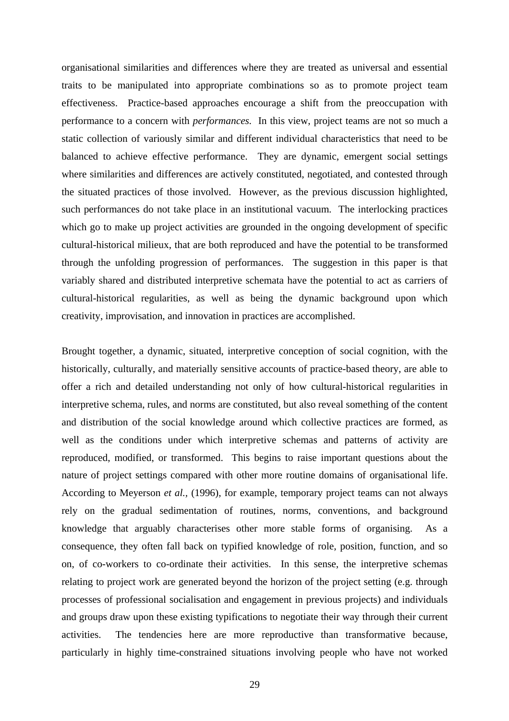organisational similarities and differences where they are treated as universal and essential traits to be manipulated into appropriate combinations so as to promote project team effectiveness. Practice-based approaches encourage a shift from the preoccupation with performance to a concern with *performances.* In this view, project teams are not so much a static collection of variously similar and different individual characteristics that need to be balanced to achieve effective performance. They are dynamic, emergent social settings where similarities and differences are actively constituted, negotiated, and contested through the situated practices of those involved. However, as the previous discussion highlighted, such performances do not take place in an institutional vacuum. The interlocking practices which go to make up project activities are grounded in the ongoing development of specific cultural-historical milieux, that are both reproduced and have the potential to be transformed through the unfolding progression of performances. The suggestion in this paper is that variably shared and distributed interpretive schemata have the potential to act as carriers of cultural-historical regularities, as well as being the dynamic background upon which creativity, improvisation, and innovation in practices are accomplished.

Brought together, a dynamic, situated, interpretive conception of social cognition, with the historically, culturally, and materially sensitive accounts of practice-based theory, are able to offer a rich and detailed understanding not only of how cultural-historical regularities in interpretive schema, rules, and norms are constituted, but also reveal something of the content and distribution of the social knowledge around which collective practices are formed, as well as the conditions under which interpretive schemas and patterns of activity are reproduced, modified, or transformed. This begins to raise important questions about the nature of project settings compared with other more routine domains of organisational life. According to Meyerson *et al.,* (1996), for example, temporary project teams can not always rely on the gradual sedimentation of routines, norms, conventions, and background knowledge that arguably characterises other more stable forms of organising. As a consequence, they often fall back on typified knowledge of role, position, function, and so on, of co-workers to co-ordinate their activities. In this sense, the interpretive schemas relating to project work are generated beyond the horizon of the project setting (e.g. through processes of professional socialisation and engagement in previous projects) and individuals and groups draw upon these existing typifications to negotiate their way through their current activities. The tendencies here are more reproductive than transformative because, particularly in highly time-constrained situations involving people who have not worked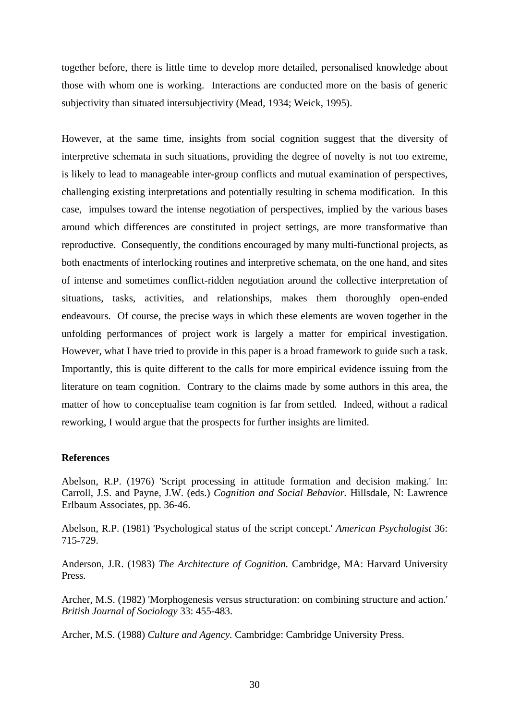together before, there is little time to develop more detailed, personalised knowledge about those with whom one is working. Interactions are conducted more on the basis of generic subjectivity than situated intersubjectivity (Mead, 1934; Weick, 1995).

However, at the same time, insights from social cognition suggest that the diversity of interpretive schemata in such situations, providing the degree of novelty is not too extreme, is likely to lead to manageable inter-group conflicts and mutual examination of perspectives, challenging existing interpretations and potentially resulting in schema modification. In this case, impulses toward the intense negotiation of perspectives, implied by the various bases around which differences are constituted in project settings, are more transformative than reproductive. Consequently, the conditions encouraged by many multi-functional projects, as both enactments of interlocking routines and interpretive schemata, on the one hand, and sites of intense and sometimes conflict-ridden negotiation around the collective interpretation of situations, tasks, activities, and relationships, makes them thoroughly open-ended endeavours. Of course, the precise ways in which these elements are woven together in the unfolding performances of project work is largely a matter for empirical investigation. However, what I have tried to provide in this paper is a broad framework to guide such a task. Importantly, this is quite different to the calls for more empirical evidence issuing from the literature on team cognition. Contrary to the claims made by some authors in this area, the matter of how to conceptualise team cognition is far from settled. Indeed, without a radical reworking, I would argue that the prospects for further insights are limited.

#### **References**

Abelson, R.P. (1976) 'Script processing in attitude formation and decision making.' In: Carroll, J.S. and Payne, J.W. (eds.) *Cognition and Social Behavior.* Hillsdale, N: Lawrence Erlbaum Associates, pp. 36-46.

Abelson, R.P. (1981) 'Psychological status of the script concept.' *American Psychologist* 36: 715-729.

Anderson, J.R. (1983) *The Architecture of Cognition.* Cambridge, MA: Harvard University Press.

Archer, M.S. (1982) 'Morphogenesis versus structuration: on combining structure and action.' *British Journal of Sociology* 33: 455-483.

Archer, M.S. (1988) *Culture and Agency.* Cambridge: Cambridge University Press.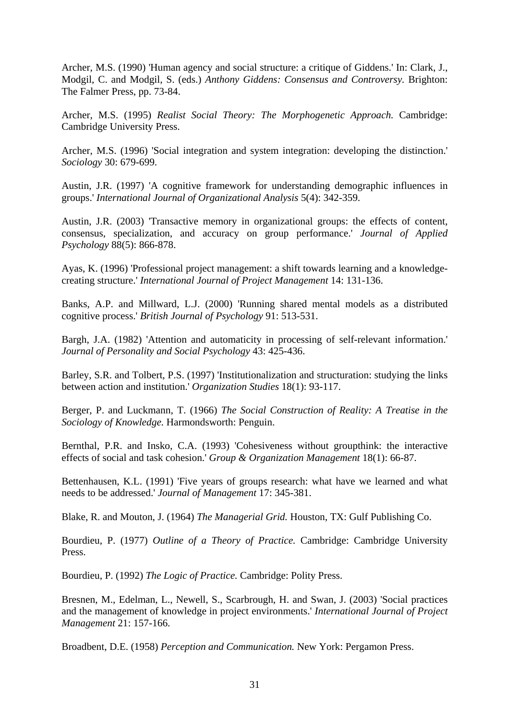Archer, M.S. (1990) 'Human agency and social structure: a critique of Giddens.' In: Clark, J., Modgil, C. and Modgil, S. (eds.) *Anthony Giddens: Consensus and Controversy.* Brighton: The Falmer Press, pp. 73-84.

Archer, M.S. (1995) *Realist Social Theory: The Morphogenetic Approach.* Cambridge: Cambridge University Press.

Archer, M.S. (1996) 'Social integration and system integration: developing the distinction.' *Sociology* 30: 679-699.

Austin, J.R. (1997) 'A cognitive framework for understanding demographic influences in groups.' *International Journal of Organizational Analysis* 5(4): 342-359.

Austin, J.R. (2003) 'Transactive memory in organizational groups: the effects of content, consensus, specialization, and accuracy on group performance.' *Journal of Applied Psychology* 88(5): 866-878.

Ayas, K. (1996) 'Professional project management: a shift towards learning and a knowledgecreating structure.' *International Journal of Project Management* 14: 131-136.

Banks, A.P. and Millward, L.J. (2000) 'Running shared mental models as a distributed cognitive process.' *British Journal of Psychology* 91: 513-531.

Bargh, J.A. (1982) 'Attention and automaticity in processing of self-relevant information.' *Journal of Personality and Social Psychology* 43: 425-436.

Barley, S.R. and Tolbert, P.S. (1997) 'Institutionalization and structuration: studying the links between action and institution.' *Organization Studies* 18(1): 93-117.

Berger, P. and Luckmann, T. (1966) *The Social Construction of Reality: A Treatise in the Sociology of Knowledge.* Harmondsworth: Penguin.

Bernthal, P.R. and Insko, C.A. (1993) 'Cohesiveness without groupthink: the interactive effects of social and task cohesion.' *Group & Organization Management* 18(1): 66-87.

Bettenhausen, K.L. (1991) 'Five years of groups research: what have we learned and what needs to be addressed.' *Journal of Management* 17: 345-381.

Blake, R. and Mouton, J. (1964) *The Managerial Grid.* Houston, TX: Gulf Publishing Co.

Bourdieu, P. (1977) *Outline of a Theory of Practice.* Cambridge: Cambridge University Press.

Bourdieu, P. (1992) *The Logic of Practice.* Cambridge: Polity Press.

Bresnen, M., Edelman, L., Newell, S., Scarbrough, H. and Swan, J. (2003) 'Social practices and the management of knowledge in project environments.' *International Journal of Project Management* 21: 157-166.

Broadbent, D.E. (1958) *Perception and Communication.* New York: Pergamon Press.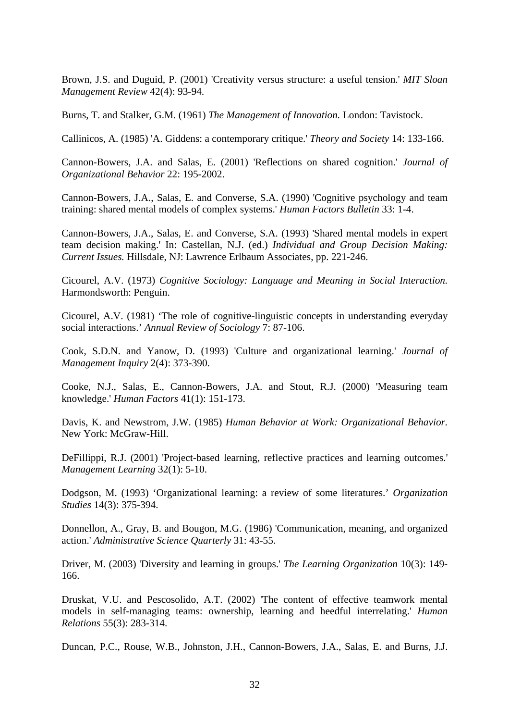Brown, J.S. and Duguid, P. (2001) 'Creativity versus structure: a useful tension.' *MIT Sloan Management Review* 42(4): 93-94.

Burns, T. and Stalker, G.M. (1961) *The Management of Innovation.* London: Tavistock.

Callinicos, A. (1985) 'A. Giddens: a contemporary critique.' *Theory and Society* 14: 133-166.

Cannon-Bowers, J.A. and Salas, E. (2001) 'Reflections on shared cognition.' *Journal of Organizational Behavior* 22: 195-2002.

Cannon-Bowers, J.A., Salas, E. and Converse, S.A. (1990) 'Cognitive psychology and team training: shared mental models of complex systems.' *Human Factors Bulletin* 33: 1-4.

Cannon-Bowers, J.A., Salas, E. and Converse, S.A. (1993) 'Shared mental models in expert team decision making.' In: Castellan, N.J. (ed.) *Individual and Group Decision Making: Current Issues.* Hillsdale, NJ: Lawrence Erlbaum Associates, pp. 221-246.

Cicourel, A.V. (1973) *Cognitive Sociology: Language and Meaning in Social Interaction.*  Harmondsworth: Penguin.

Cicourel, A.V. (1981) 'The role of cognitive-linguistic concepts in understanding everyday social interactions.' *Annual Review of Sociology* 7: 87-106.

Cook, S.D.N. and Yanow, D. (1993) 'Culture and organizational learning.' *Journal of Management Inquiry* 2(4): 373-390.

Cooke, N.J., Salas, E., Cannon-Bowers, J.A. and Stout, R.J. (2000) 'Measuring team knowledge.' *Human Factors* 41(1): 151-173.

Davis, K. and Newstrom, J.W. (1985) *Human Behavior at Work: Organizational Behavior.*  New York: McGraw-Hill.

DeFillippi, R.J. (2001) 'Project-based learning, reflective practices and learning outcomes.' *Management Learning* 32(1): 5-10.

Dodgson, M. (1993) 'Organizational learning: a review of some literatures.' *Organization Studies* 14(3): 375-394.

Donnellon, A., Gray, B. and Bougon, M.G. (1986) 'Communication, meaning, and organized action.' *Administrative Science Quarterly* 31: 43-55.

Driver, M. (2003) 'Diversity and learning in groups.' *The Learning Organization* 10(3): 149- 166.

Druskat, V.U. and Pescosolido, A.T. (2002) 'The content of effective teamwork mental models in self-managing teams: ownership, learning and heedful interrelating.' *Human Relations* 55(3): 283-314.

Duncan, P.C., Rouse, W.B., Johnston, J.H., Cannon-Bowers, J.A., Salas, E. and Burns, J.J.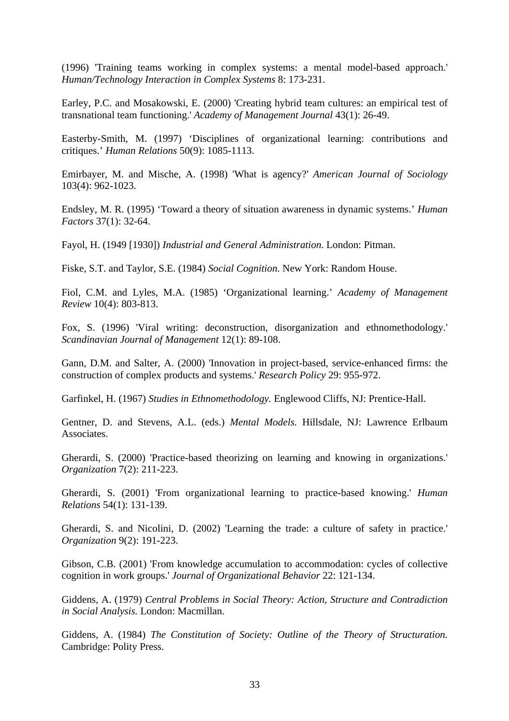(1996) 'Training teams working in complex systems: a mental model-based approach.' *Human/Technology Interaction in Complex Systems* 8: 173-231.

Earley, P.C. and Mosakowski, E. (2000) 'Creating hybrid team cultures: an empirical test of transnational team functioning.' *Academy of Management Journal* 43(1): 26-49.

Easterby-Smith, M. (1997) 'Disciplines of organizational learning: contributions and critiques.' *Human Relations* 50(9): 1085-1113.

Emirbayer, M. and Mische, A. (1998) 'What is agency?' *American Journal of Sociology*  103(4): 962-1023.

Endsley, M. R. (1995) 'Toward a theory of situation awareness in dynamic systems.' *Human Factors* 37(1): 32-64.

Fayol, H. (1949 [1930]) *Industrial and General Administration.* London: Pitman.

Fiske, S.T. and Taylor, S.E. (1984) *Social Cognition.* New York: Random House.

Fiol, C.M. and Lyles, M.A. (1985) 'Organizational learning.' *Academy of Management Review* 10(4): 803-813.

Fox, S. (1996) 'Viral writing: deconstruction, disorganization and ethnomethodology.' *Scandinavian Journal of Management* 12(1): 89-108.

Gann, D.M. and Salter, A. (2000) 'Innovation in project-based, service-enhanced firms: the construction of complex products and systems.' *Research Policy* 29: 955-972.

Garfinkel, H. (1967) *Studies in Ethnomethodology.* Englewood Cliffs, NJ: Prentice-Hall.

Gentner, D. and Stevens, A.L. (eds.) *Mental Models.* Hillsdale, NJ: Lawrence Erlbaum Associates.

Gherardi, S. (2000) 'Practice-based theorizing on learning and knowing in organizations.' *Organization* 7(2): 211-223.

Gherardi, S. (2001) 'From organizational learning to practice-based knowing.' *Human Relations* 54(1): 131-139.

Gherardi, S. and Nicolini, D. (2002) 'Learning the trade: a culture of safety in practice.' *Organization* 9(2): 191-223.

Gibson, C.B. (2001) 'From knowledge accumulation to accommodation: cycles of collective cognition in work groups.' *Journal of Organizational Behavior* 22: 121-134.

Giddens, A. (1979) *Central Problems in Social Theory: Action, Structure and Contradiction in Social Analysis.* London: Macmillan.

Giddens, A. (1984) *The Constitution of Society: Outline of the Theory of Structuration.*  Cambridge: Polity Press.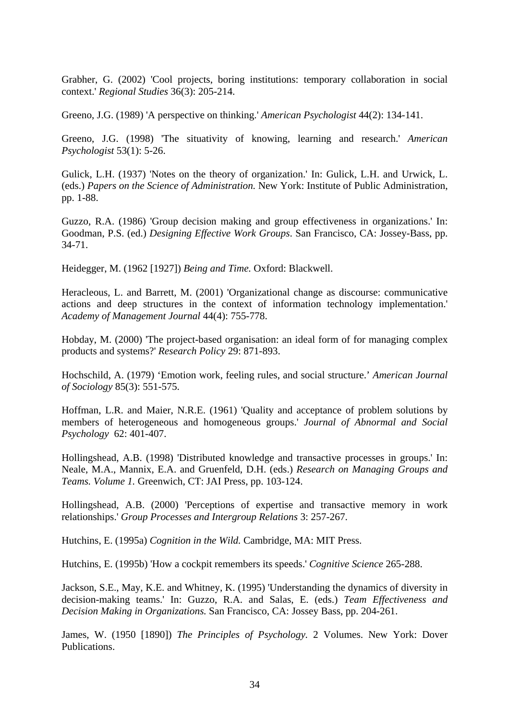Grabher, G. (2002) 'Cool projects, boring institutions: temporary collaboration in social context.' *Regional Studies* 36(3): 205-214.

Greeno, J.G. (1989) 'A perspective on thinking.' *American Psychologist* 44(2): 134-141.

Greeno, J.G. (1998) 'The situativity of knowing, learning and research.' *American Psychologist* 53(1): 5-26.

Gulick, L.H. (1937) 'Notes on the theory of organization.' In: Gulick, L.H. and Urwick, L. (eds.) *Papers on the Science of Administration.* New York: Institute of Public Administration, pp. 1-88.

Guzzo, R.A. (1986) 'Group decision making and group effectiveness in organizations.' In: Goodman, P.S. (ed.) *Designing Effective Work Groups*. San Francisco, CA: Jossey-Bass, pp. 34-71.

Heidegger, M. (1962 [1927]) *Being and Time.* Oxford: Blackwell.

Heracleous, L. and Barrett, M. (2001) 'Organizational change as discourse: communicative actions and deep structures in the context of information technology implementation.' *Academy of Management Journal* 44(4): 755-778.

Hobday, M. (2000) 'The project-based organisation: an ideal form of for managing complex products and systems?' *Research Policy* 29: 871-893.

Hochschild, A. (1979) 'Emotion work, feeling rules, and social structure.' *American Journal of Sociology* 85(3): 551-575.

Hoffman, L.R. and Maier, N.R.E. (1961) 'Quality and acceptance of problem solutions by members of heterogeneous and homogeneous groups.' *Journal of Abnormal and Social Psychology* 62: 401-407.

Hollingshead, A.B. (1998) 'Distributed knowledge and transactive processes in groups.' In: Neale, M.A., Mannix, E.A. and Gruenfeld, D.H. (eds.) *Research on Managing Groups and Teams. Volume 1.* Greenwich, CT: JAI Press, pp. 103-124.

Hollingshead, A.B. (2000) 'Perceptions of expertise and transactive memory in work relationships.' *Group Processes and Intergroup Relations* 3: 257-267.

Hutchins, E. (1995a) *Cognition in the Wild.* Cambridge, MA: MIT Press.

Hutchins, E. (1995b) 'How a cockpit remembers its speeds.' *Cognitive Science* 265-288.

Jackson, S.E., May, K.E. and Whitney, K. (1995) 'Understanding the dynamics of diversity in decision-making teams.' In: Guzzo, R.A. and Salas, E. (eds.) *Team Effectiveness and Decision Making in Organizations.* San Francisco, CA: Jossey Bass, pp. 204-261.

James, W. (1950 [1890]) *The Principles of Psychology.* 2 Volumes. New York: Dover Publications.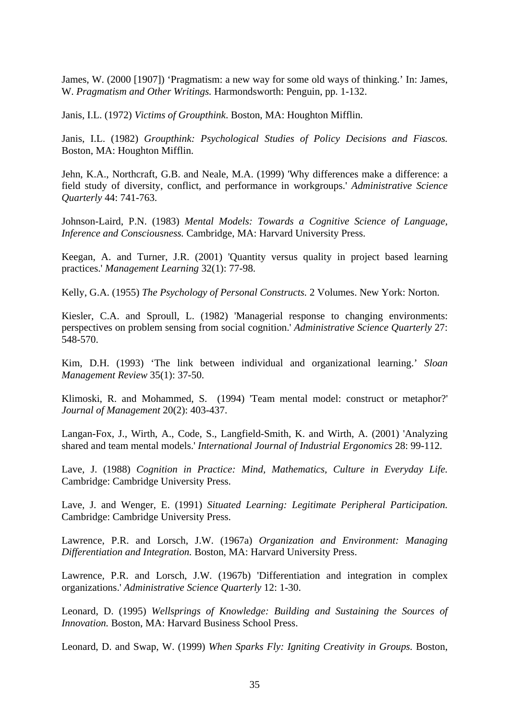James, W. (2000 [1907]) 'Pragmatism: a new way for some old ways of thinking.' In: James, W. *Pragmatism and Other Writings.* Harmondsworth: Penguin, pp. 1-132.

Janis, I.L. (1972) *Victims of Groupthink*. Boston, MA: Houghton Mifflin.

Janis, I.L. (1982) *Groupthink: Psychological Studies of Policy Decisions and Fiascos.*  Boston, MA: Houghton Mifflin.

Jehn, K.A., Northcraft, G.B. and Neale, M.A. (1999) 'Why differences make a difference: a field study of diversity, conflict, and performance in workgroups.' *Administrative Science Quarterly* 44: 741-763.

Johnson-Laird, P.N. (1983) *Mental Models: Towards a Cognitive Science of Language, Inference and Consciousness.* Cambridge, MA: Harvard University Press.

Keegan, A. and Turner, J.R. (2001) 'Quantity versus quality in project based learning practices.' *Management Learning* 32(1): 77-98.

Kelly, G.A. (1955) *The Psychology of Personal Constructs.* 2 Volumes. New York: Norton.

Kiesler, C.A. and Sproull, L. (1982) 'Managerial response to changing environments: perspectives on problem sensing from social cognition.' *Administrative Science Quarterly* 27: 548-570.

Kim, D.H. (1993) 'The link between individual and organizational learning.' *Sloan Management Review* 35(1): 37-50.

Klimoski, R. and Mohammed, S. (1994) 'Team mental model: construct or metaphor?' *Journal of Management* 20(2): 403-437.

Langan-Fox, J., Wirth, A., Code, S., Langfield-Smith, K. and Wirth, A. (2001) 'Analyzing shared and team mental models.' *International Journal of Industrial Ergonomics* 28: 99-112.

Lave, J. (1988) *Cognition in Practice: Mind, Mathematics, Culture in Everyday Life.* Cambridge: Cambridge University Press.

Lave, J. and Wenger, E. (1991) *Situated Learning: Legitimate Peripheral Participation.*  Cambridge: Cambridge University Press.

Lawrence, P.R. and Lorsch, J.W. (1967a) *Organization and Environment: Managing Differentiation and Integration.* Boston, MA: Harvard University Press.

Lawrence, P.R. and Lorsch, J.W. (1967b) 'Differentiation and integration in complex organizations.' *Administrative Science Quarterly* 12: 1-30.

Leonard, D. (1995) *Wellsprings of Knowledge: Building and Sustaining the Sources of Innovation.* Boston, MA: Harvard Business School Press.

Leonard, D. and Swap, W. (1999) *When Sparks Fly: Igniting Creativity in Groups.* Boston,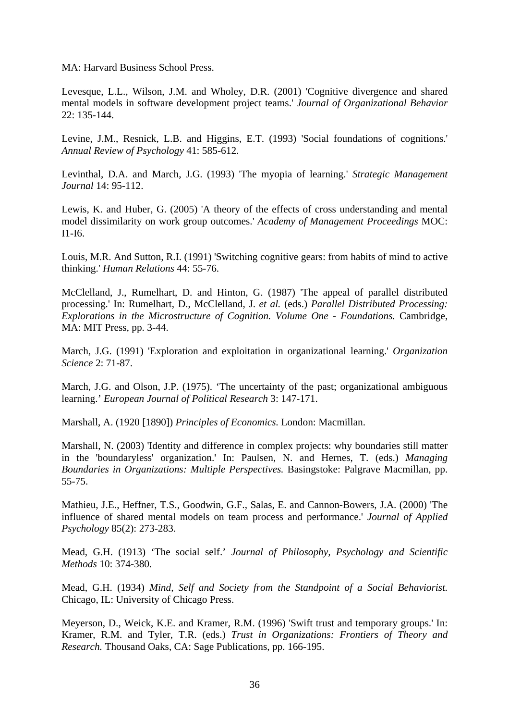MA: Harvard Business School Press.

Levesque, L.L., Wilson, J.M. and Wholey, D.R. (2001) 'Cognitive divergence and shared mental models in software development project teams.' *Journal of Organizational Behavior*  22: 135-144.

Levine, J.M., Resnick, L.B. and Higgins, E.T. (1993) 'Social foundations of cognitions.' *Annual Review of Psychology* 41: 585-612.

Levinthal, D.A. and March, J.G. (1993) 'The myopia of learning.' *Strategic Management Journal* 14: 95-112.

Lewis, K. and Huber, G. (2005) 'A theory of the effects of cross understanding and mental model dissimilarity on work group outcomes.' *Academy of Management Proceedings* MOC: I1-I6.

Louis, M.R. And Sutton, R.I. (1991) 'Switching cognitive gears: from habits of mind to active thinking.' *Human Relations* 44: 55-76.

McClelland, J., Rumelhart, D. and Hinton, G. (1987) 'The appeal of parallel distributed processing.' In: Rumelhart, D., McClelland, J. *et al.* (eds.) *Parallel Distributed Processing: Explorations in the Microstructure of Cognition. Volume One - Foundations.* Cambridge, MA: MIT Press, pp. 3-44.

March, J.G. (1991) 'Exploration and exploitation in organizational learning.' *Organization Science* 2: 71-87.

March, J.G. and Olson, J.P. (1975). 'The uncertainty of the past; organizational ambiguous learning.' *European Journal of Political Research* 3: 147-171.

Marshall, A. (1920 [1890]) *Principles of Economics.* London: Macmillan.

Marshall, N. (2003) 'Identity and difference in complex projects: why boundaries still matter in the 'boundaryless' organization.' In: Paulsen, N. and Hernes, T. (eds.) *Managing Boundaries in Organizations: Multiple Perspectives.* Basingstoke: Palgrave Macmillan, pp. 55-75.

Mathieu, J.E., Heffner, T.S., Goodwin, G.F., Salas, E. and Cannon-Bowers, J.A. (2000) 'The influence of shared mental models on team process and performance.' *Journal of Applied Psychology* 85(2): 273-283.

Mead, G.H. (1913) 'The social self.' *Journal of Philosophy, Psychology and Scientific Methods* 10: 374-380.

Mead, G.H. (1934) *Mind, Self and Society from the Standpoint of a Social Behaviorist.*  Chicago, IL: University of Chicago Press.

Meyerson, D., Weick, K.E. and Kramer, R.M. (1996) 'Swift trust and temporary groups.' In: Kramer, R.M. and Tyler, T.R. (eds.) *Trust in Organizations: Frontiers of Theory and Research.* Thousand Oaks, CA: Sage Publications, pp. 166-195.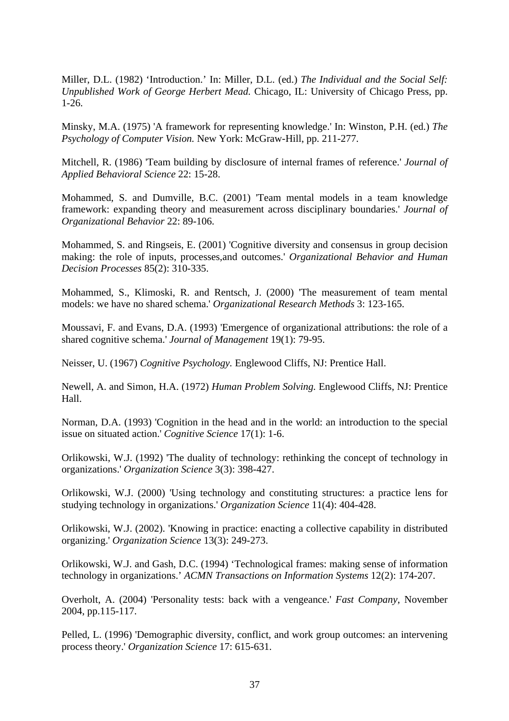Miller, D.L. (1982) 'Introduction.' In: Miller, D.L. (ed.) *The Individual and the Social Self: Unpublished Work of George Herbert Mead.* Chicago, IL: University of Chicago Press, pp. 1-26.

Minsky, M.A. (1975) 'A framework for representing knowledge.' In: Winston, P.H. (ed.) *The Psychology of Computer Vision.* New York: McGraw-Hill, pp. 211-277.

Mitchell, R. (1986) 'Team building by disclosure of internal frames of reference.' *Journal of Applied Behavioral Science* 22: 15-28.

Mohammed, S. and Dumville, B.C. (2001) 'Team mental models in a team knowledge framework: expanding theory and measurement across disciplinary boundaries.' *Journal of Organizational Behavior* 22: 89-106.

Mohammed, S. and Ringseis, E. (2001) 'Cognitive diversity and consensus in group decision making: the role of inputs, processes,and outcomes.' *Organizational Behavior and Human Decision Processes* 85(2): 310-335.

Mohammed, S., Klimoski, R. and Rentsch, J. (2000) 'The measurement of team mental models: we have no shared schema.' *Organizational Research Methods* 3: 123-165.

Moussavi, F. and Evans, D.A. (1993) 'Emergence of organizational attributions: the role of a shared cognitive schema.' *Journal of Management* 19(1): 79-95.

Neisser, U. (1967) *Cognitive Psychology.* Englewood Cliffs, NJ: Prentice Hall.

Newell, A. and Simon, H.A. (1972) *Human Problem Solving.* Englewood Cliffs, NJ: Prentice Hall.

Norman, D.A. (1993) 'Cognition in the head and in the world: an introduction to the special issue on situated action.' *Cognitive Science* 17(1): 1-6.

Orlikowski, W.J. (1992) 'The duality of technology: rethinking the concept of technology in organizations.' *Organization Science* 3(3): 398-427.

Orlikowski, W.J. (2000) 'Using technology and constituting structures: a practice lens for studying technology in organizations.' *Organization Science* 11(4): 404-428.

Orlikowski, W.J. (2002). 'Knowing in practice: enacting a collective capability in distributed organizing.' *Organization Science* 13(3): 249-273.

Orlikowski, W.J. and Gash, D.C. (1994) 'Technological frames: making sense of information technology in organizations.' *ACMN Transactions on Information Systems* 12(2): 174-207.

Overholt, A. (2004) 'Personality tests: back with a vengeance.' *Fast Company*, November 2004, pp.115-117.

Pelled, L. (1996) 'Demographic diversity, conflict, and work group outcomes: an intervening process theory.' *Organization Science* 17: 615-631.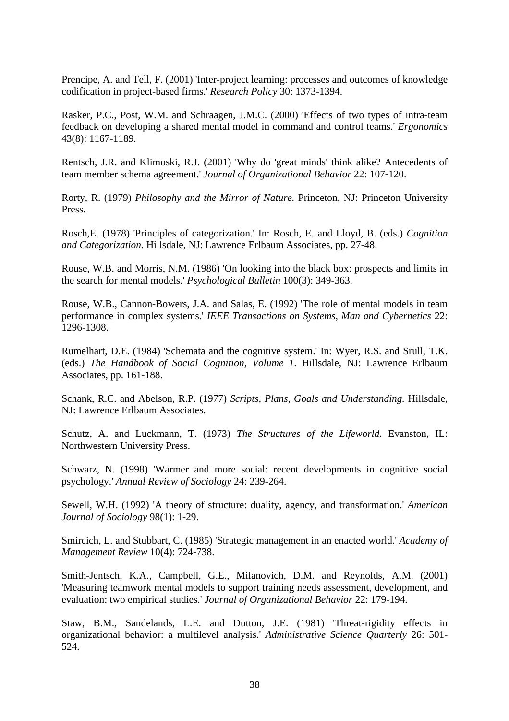Prencipe, A. and Tell, F. (2001) 'Inter-project learning: processes and outcomes of knowledge codification in project-based firms.' *Research Policy* 30: 1373-1394.

Rasker, P.C., Post, W.M. and Schraagen, J.M.C. (2000) 'Effects of two types of intra-team feedback on developing a shared mental model in command and control teams.' *Ergonomics*  43(8): 1167-1189.

Rentsch, J.R. and Klimoski, R.J. (2001) 'Why do 'great minds' think alike? Antecedents of team member schema agreement.' *Journal of Organizational Behavior* 22: 107-120.

Rorty, R. (1979) *Philosophy and the Mirror of Nature.* Princeton, NJ: Princeton University Press.

Rosch,E. (1978) 'Principles of categorization.' In: Rosch, E. and Lloyd, B. (eds.) *Cognition and Categorization.* Hillsdale, NJ: Lawrence Erlbaum Associates, pp. 27-48.

Rouse, W.B. and Morris, N.M. (1986) 'On looking into the black box: prospects and limits in the search for mental models.' *Psychological Bulletin* 100(3): 349-363.

Rouse, W.B., Cannon-Bowers, J.A. and Salas, E. (1992) 'The role of mental models in team performance in complex systems.' *IEEE Transactions on Systems, Man and Cybernetics* 22: 1296-1308.

Rumelhart, D.E. (1984) 'Schemata and the cognitive system.' In: Wyer, R.S. and Srull, T.K. (eds.) *The Handbook of Social Cognition, Volume 1*. Hillsdale, NJ: Lawrence Erlbaum Associates, pp. 161-188.

Schank, R.C. and Abelson, R.P. (1977) *Scripts, Plans, Goals and Understanding.* Hillsdale, NJ: Lawrence Erlbaum Associates.

Schutz, A. and Luckmann, T. (1973) *The Structures of the Lifeworld.* Evanston, IL: Northwestern University Press.

Schwarz, N. (1998) 'Warmer and more social: recent developments in cognitive social psychology.' *Annual Review of Sociology* 24: 239-264.

Sewell, W.H. (1992) 'A theory of structure: duality, agency, and transformation.' *American Journal of Sociology* 98(1): 1-29.

Smircich, L. and Stubbart, C. (1985) 'Strategic management in an enacted world.' *Academy of Management Review* 10(4): 724-738.

Smith-Jentsch, K.A., Campbell, G.E., Milanovich, D.M. and Reynolds, A.M. (2001) 'Measuring teamwork mental models to support training needs assessment, development, and evaluation: two empirical studies.' *Journal of Organizational Behavior* 22: 179-194.

Staw, B.M., Sandelands, L.E. and Dutton, J.E. (1981) 'Threat-rigidity effects in organizational behavior: a multilevel analysis.' *Administrative Science Quarterly* 26: 501- 524.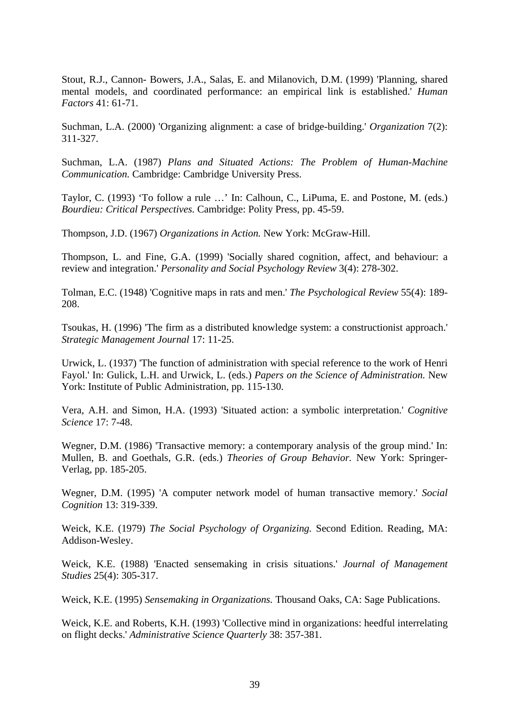Stout, R.J., Cannon- Bowers, J.A., Salas, E. and Milanovich, D.M. (1999) 'Planning, shared mental models, and coordinated performance: an empirical link is established.' *Human Factors* 41: 61-71.

Suchman, L.A. (2000) 'Organizing alignment: a case of bridge-building.' *Organization* 7(2): 311-327.

Suchman, L.A. (1987) *Plans and Situated Actions: The Problem of Human-Machine Communication.* Cambridge: Cambridge University Press.

Taylor, C. (1993) 'To follow a rule …' In: Calhoun, C., LiPuma, E. and Postone, M. (eds.) *Bourdieu: Critical Perspectives.* Cambridge: Polity Press, pp. 45-59.

Thompson, J.D. (1967) *Organizations in Action.* New York: McGraw-Hill.

Thompson, L. and Fine, G.A. (1999) 'Socially shared cognition, affect, and behaviour: a review and integration.' *Personality and Social Psychology Review* 3(4): 278-302.

Tolman, E.C. (1948) 'Cognitive maps in rats and men.' *The Psychological Review* 55(4): 189- 208.

Tsoukas, H. (1996) 'The firm as a distributed knowledge system: a constructionist approach.' *Strategic Management Journal* 17: 11-25.

Urwick, L. (1937) 'The function of administration with special reference to the work of Henri Fayol.' In: Gulick, L.H. and Urwick, L. (eds.) *Papers on the Science of Administration.* New York: Institute of Public Administration, pp. 115-130.

Vera, A.H. and Simon, H.A. (1993) 'Situated action: a symbolic interpretation.' *Cognitive Science* 17: 7-48.

Wegner, D.M. (1986) 'Transactive memory: a contemporary analysis of the group mind.' In: Mullen, B. and Goethals, G.R. (eds.) *Theories of Group Behavior.* New York: Springer-Verlag, pp. 185-205.

Wegner, D.M. (1995) 'A computer network model of human transactive memory.' *Social Cognition* 13: 319-339.

Weick, K.E. (1979) *The Social Psychology of Organizing.* Second Edition. Reading, MA: Addison-Wesley.

Weick, K.E. (1988) 'Enacted sensemaking in crisis situations.' *Journal of Management Studies* 25(4): 305-317.

Weick, K.E. (1995) *Sensemaking in Organizations.* Thousand Oaks, CA: Sage Publications.

Weick, K.E. and Roberts, K.H. (1993) 'Collective mind in organizations: heedful interrelating on flight decks.' *Administrative Science Quarterly* 38: 357-381.